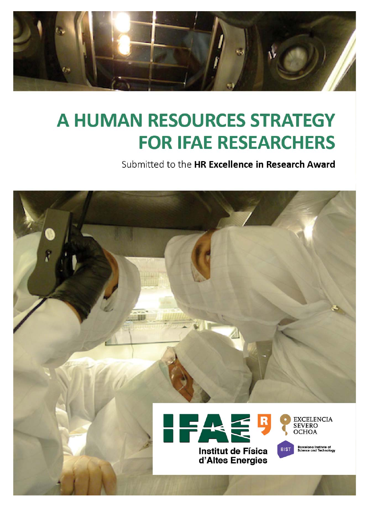

# **A HUMAN RESOURCES STRATEGY FOR IFAE RESEARCHERS**

Submitted to the HR Excellence in Research Award

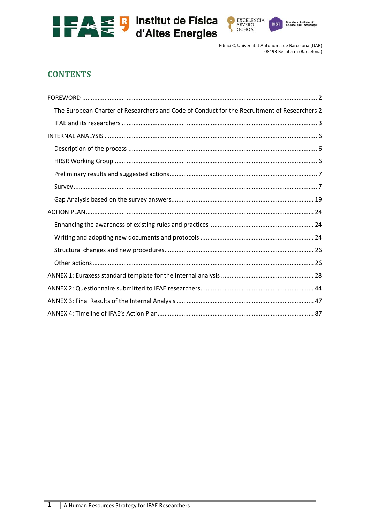





# **CONTENTS**

| The European Charter of Researchers and Code of Conduct for the Recruitment of Researchers 2 |
|----------------------------------------------------------------------------------------------|
|                                                                                              |
|                                                                                              |
|                                                                                              |
|                                                                                              |
|                                                                                              |
|                                                                                              |
|                                                                                              |
|                                                                                              |
|                                                                                              |
|                                                                                              |
|                                                                                              |
|                                                                                              |
|                                                                                              |
|                                                                                              |
|                                                                                              |
|                                                                                              |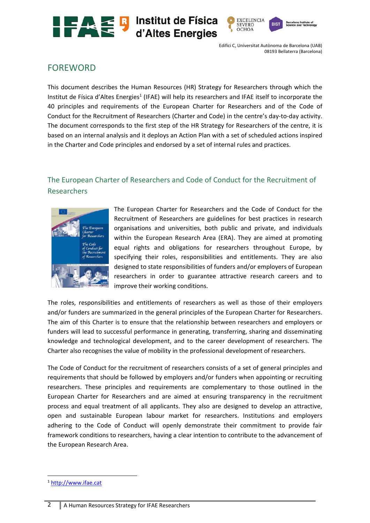





**RIST** 

# FOREWORD

This document describes the Human Resources (HR) Strategy for Researchers through which the Institut de Física d'Altes Energies<sup>1</sup> (IFAE) will help its researchers and IFAE itself to incorporate the 40 principles and requirements of the European Charter for Researchers and of the Code of Conduct for the Recruitment of Researchers (Charter and Code) in the centre's day‐to‐day activity. The document corresponds to the first step of the HR Strategy for Researchers of the centre, it is based on an internal analysis and it deploys an Action Plan with a set of scheduled actions inspired in the Charter and Code principles and endorsed by a set of internal rules and practices.

# The European Charter of Researchers and Code of Conduct for the Recruitment of Researchers



The European Charter for Researchers and the Code of Conduct for the Recruitment of Researchers are guidelines for best practices in research organisations and universities, both public and private, and individuals within the European Research Area (ERA). They are aimed at promoting equal rights and obligations for researchers throughout Europe, by specifying their roles, responsibilities and entitlements. They are also designed to state responsibilities of funders and/or employers of European researchers in order to guarantee attractive research careers and to improve their working conditions.

The roles, responsibilities and entitlements of researchers as well as those of their employers and/or funders are summarized in the general principles of the European Charter for Researchers. The aim of this Charter is to ensure that the relationship between researchers and employers or funders will lead to successful performance in generating, transferring, sharing and disseminating knowledge and technological development, and to the career development of researchers. The Charter also recognises the value of mobility in the professional development of researchers.

The Code of Conduct for the recruitment of researchers consists of a set of general principles and requirements that should be followed by employers and/or funders when appointing or recruiting researchers. These principles and requirements are complementary to those outlined in the European Charter for Researchers and are aimed at ensuring transparency in the recruitment process and equal treatment of all applicants. They also are designed to develop an attractive, open and sustainable European labour market for researchers. Institutions and employers adhering to the Code of Conduct will openly demonstrate their commitment to provide fair framework conditions to researchers, having a clear intention to contribute to the advancement of the European Research Area.

<sup>1</sup> http://www.ifae.cat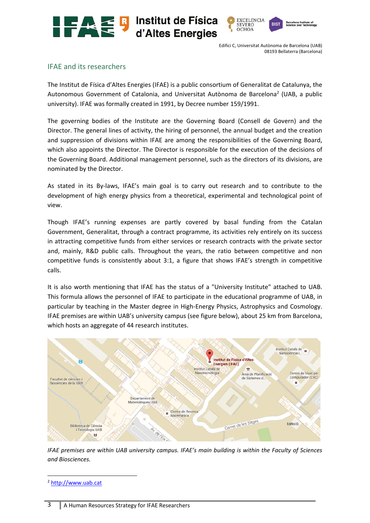





# IFAE and its researchers

The Institut de Física d'Altes Energies (IFAE) is a public consortium of Generalitat de Catalunya, the Autonomous Government of Catalonia, and Universitat Autònoma de Barcelona<sup>2</sup> (UAB, a public university). IFAE was formally created in 1991, by Decree number 159/1991.

The governing bodies of the Institute are the Governing Board (Consell de Govern) and the Director. The general lines of activity, the hiring of personnel, the annual budget and the creation and suppression of divisions within IFAE are among the responsibilities of the Governing Board, which also appoints the Director. The Director is responsible for the execution of the decisions of the Governing Board. Additional management personnel, such as the directors of its divisions, are nominated by the Director.

As stated in its By-laws, IFAE's main goal is to carry out research and to contribute to the development of high energy physics from a theoretical, experimental and technological point of view.

Though IFAE's running expenses are partly covered by basal funding from the Catalan Government, Generalitat, through a contract programme, its activities rely entirely on its success in attracting competitive funds from either services or research contracts with the private sector and, mainly, R&D public calls. Throughout the years, the ratio between competitive and non competitive funds is consistently about 3:1, a figure that shows IFAE's strength in competitive calls.

It is also worth mentioning that IFAE has the status of a "University Institute" attached to UAB. This formula allows the personnel of IFAE to participate in the educational programme of UAB, in particular by teaching in the Master degree in High‐Energy Physics, Astrophysics and Cosmology. IFAE premises are within UAB's university campus (see figure below), about 25 km from Barcelona, which hosts an aggregate of 44 research institutes.



*IFAE premises are within UAB university campus. IFAE's main building is within the Faculty of Sciences and Biosciences.* 

<sup>2</sup> http://www.uab.cat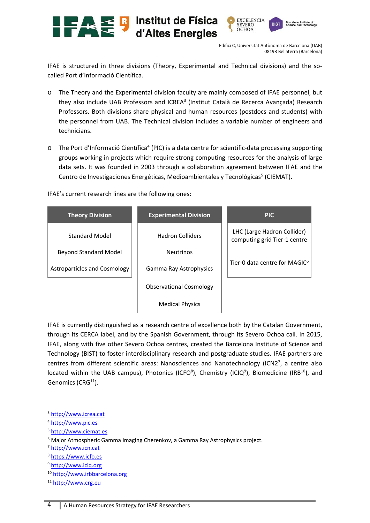



IFAE is structured in three divisions (Theory, Experimental and Technical divisions) and the so‐ called Port d'Informació Científica.

- o The Theory and the Experimental division faculty are mainly composed of IFAE personnel, but they also include UAB Professors and ICREA<sup>3</sup> (Institut Català de Recerca Avançada) Research Professors. Both divisions share physical and human resources (postdocs and students) with the personnel from UAB. The Technical division includes a variable number of engineers and technicians.
- o The Port d'Informació Científica<sup>4</sup> (PIC) is a data centre for scientific-data processing supporting groups working in projects which require strong computing resources for the analysis of large data sets. It was founded in 2003 through a collaboration agreement between IFAE and the Centro de Investigaciones Energéticas, Medioambientales y Tecnológicas<sup>5</sup> (CIEMAT).

IFAE's current research lines are the following ones:

| <b>Theory Division</b>       | <b>Experimental Division</b>   | <b>PIC</b>                                                  |
|------------------------------|--------------------------------|-------------------------------------------------------------|
| <b>Standard Model</b>        | <b>Hadron Colliders</b>        | LHC (Large Hadron Collider)<br>computing grid Tier-1 centre |
| <b>Beyond Standard Model</b> | <b>Neutrinos</b>               |                                                             |
| Astroparticles and Cosmology | Gamma Ray Astrophysics         | Tier-0 data centre for MAGIC <sup>6</sup>                   |
|                              | <b>Observational Cosmology</b> |                                                             |
|                              | <b>Medical Physics</b>         |                                                             |

IFAE is currently distinguished as a research centre of excellence both by the Catalan Government, through its CERCA label, and by the Spanish Government, through its Severo Ochoa call. In 2015, IFAE, along with five other Severo Ochoa centres, created the Barcelona Institute of Science and Technology (BIST) to foster interdisciplinary research and postgraduate studies. IFAE partners are centres from different scientific areas: Nanosciences and Nanotechnology (ICN2<sup>7</sup>, a centre also located within the UAB campus), Photonics (ICFO<sup>8</sup>), Chemistry (ICIQ<sup>9</sup>), Biomedicine (IRB<sup>10</sup>), and Genomics ( $CRG<sup>11</sup>$ ).

<sup>3</sup> http://www.icrea.cat

- <sup>5</sup> http://www.ciemat.es
- <sup>6</sup> Major Atmospheric Gamma Imaging Cherenkov, a Gamma Ray Astrophysics project.

- <sup>8</sup> https://www.icfo.es
- <sup>9</sup> http://www.iciq.org
- <sup>10</sup> http://www.irbbarcelona.org

<sup>4</sup> http://www.pic.es

<sup>7</sup> http://www.icn.cat

<sup>&</sup>lt;sup>11</sup> http://www.crg.eu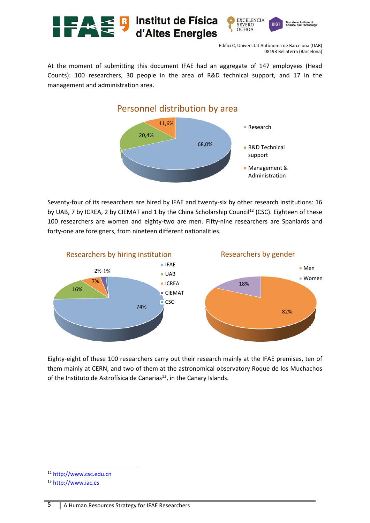

At the moment of submitting this document IFAE had an aggregate of 147 employees (Head Counts): 100 researchers, 30 people in the area of R&D technical support, and 17 in the management and administration area.



Seventy-four of its researchers are hired by IFAE and twenty-six by other research institutions: 16 by UAB, 7 by ICREA, 2 by CIEMAT and 1 by the China Scholarship Council<sup>12</sup> (CSC). Eighteen of these 100 researchers are women and eighty-two are men. Fifty-nine researchers are Spaniards and forty-one are foreigners, from nineteen different nationalities.



Eighty‐eight of these 100 researchers carry out their research mainly at the IFAE premises, ten of them mainly at CERN, and two of them at the astronomical observatory Roque de los Muchachos of the Instituto de Astrofísica de Canarias<sup>13</sup>, in the Canary Islands.

<sup>12</sup> http://www.csc.edu.cn

<sup>13</sup> http://www.iac.es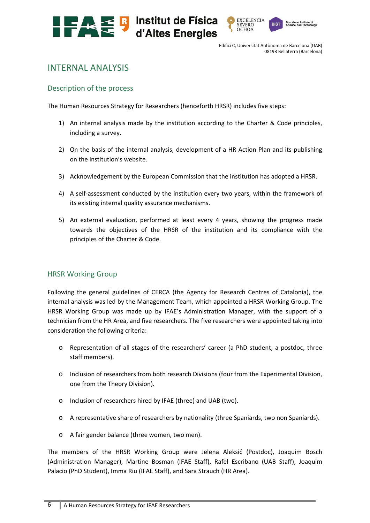



# INTERNAL ANALYSIS

## Description of the process

The Human Resources Strategy for Researchers (henceforth HRSR) includes five steps:

- 1) An internal analysis made by the institution according to the Charter & Code principles, including a survey.
- 2) On the basis of the internal analysis, development of a HR Action Plan and its publishing on the institution's website.
- 3) Acknowledgement by the European Commission that the institution has adopted a HRSR.
- 4) A self-assessment conducted by the institution every two years, within the framework of its existing internal quality assurance mechanisms.
- 5) An external evaluation, performed at least every 4 years, showing the progress made towards the objectives of the HRSR of the institution and its compliance with the principles of the Charter & Code.

#### HRSR Working Group

Following the general guidelines of CERCA (the Agency for Research Centres of Catalonia), the internal analysis was led by the Management Team, which appointed a HRSR Working Group. The HRSR Working Group was made up by IFAE's Administration Manager, with the support of a technician from the HR Area, and five researchers. The five researchers were appointed taking into consideration the following criteria:

- o Representation of all stages of the researchers' career (a PhD student, a postdoc, three staff members).
- o Inclusion of researchers from both research Divisions (four from the Experimental Division, one from the Theory Division).
- o Inclusion of researchers hired by IFAE (three) and UAB (two).
- o A representative share of researchers by nationality (three Spaniards, two non Spaniards).
- o A fair gender balance (three women, two men).

The members of the HRSR Working Group were Jelena Aleksić (Postdoc), Joaquim Bosch (Administration Manager), Martine Bosman (IFAE Staff), Rafel Escribano (UAB Staff), Joaquim Palacio (PhD Student), Imma Riu (IFAE Staff), and Sara Strauch (HR Area).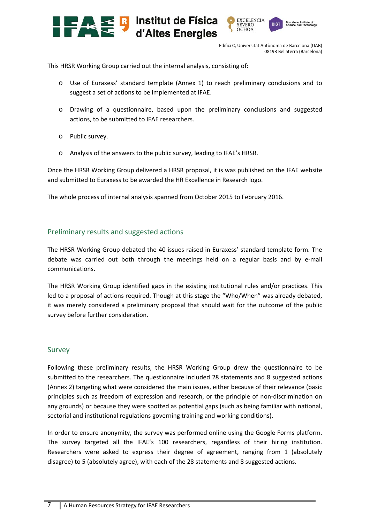



This HRSR Working Group carried out the internal analysis, consisting of:

- o Use of Euraxess' standard template (Annex 1) to reach preliminary conclusions and to suggest a set of actions to be implemented at IFAE.
- o Drawing of a questionnaire, based upon the preliminary conclusions and suggested actions, to be submitted to IFAE researchers.
- o Public survey.
- o Analysis of the answers to the public survey, leading to IFAE's HRSR.

Once the HRSR Working Group delivered a HRSR proposal, it is was published on the IFAE website and submitted to Euraxess to be awarded the HR Excellence in Research logo.

The whole process of internal analysis spanned from October 2015 to February 2016.

## Preliminary results and suggested actions

The HRSR Working Group debated the 40 issues raised in Euraxess' standard template form. The debate was carried out both through the meetings held on a regular basis and by e-mail communications.

The HRSR Working Group identified gaps in the existing institutional rules and/or practices. This led to a proposal of actions required. Though at this stage the "Who/When" was already debated, it was merely considered a preliminary proposal that should wait for the outcome of the public survey before further consideration.

# Survey

Following these preliminary results, the HRSR Working Group drew the questionnaire to be submitted to the researchers. The questionnaire included 28 statements and 8 suggested actions (Annex 2) targeting what were considered the main issues, either because of their relevance (basic principles such as freedom of expression and research, or the principle of non‐discrimination on any grounds) or because they were spotted as potential gaps (such as being familiar with national, sectorial and institutional regulations governing training and working conditions).

In order to ensure anonymity, the survey was performed online using the Google Forms platform. The survey targeted all the IFAE's 100 researchers, regardless of their hiring institution. Researchers were asked to express their degree of agreement, ranging from 1 (absolutely disagree) to 5 (absolutely agree), with each of the 28 statements and 8 suggested actions.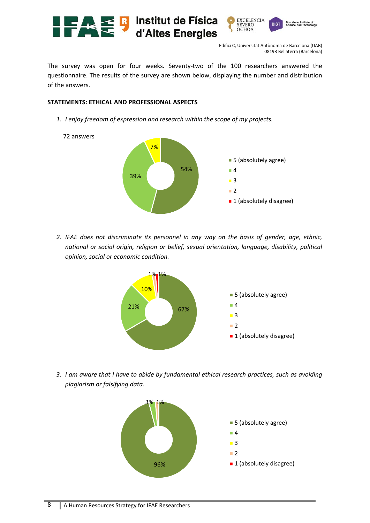

The survey was open for four weeks. Seventy-two of the 100 researchers answered the questionnaire. The results of the survey are shown below, displaying the number and distribution of the answers.

#### **STATEMENTS: ETHICAL AND PROFESSIONAL ASPECTS**

*1. I enjoy freedom of expression and research within the scope of my projects.* 



*2. IFAE does not discriminate its personnel in any way on the basis of gender, age, ethnic, national or social origin, religion or belief, sexual orientation, language, disability, political opinion, social or economic condition.* 



*3. I am aware that I have to abide by fundamental ethical research practices, such as avoiding plagiarism or falsifying data.* 

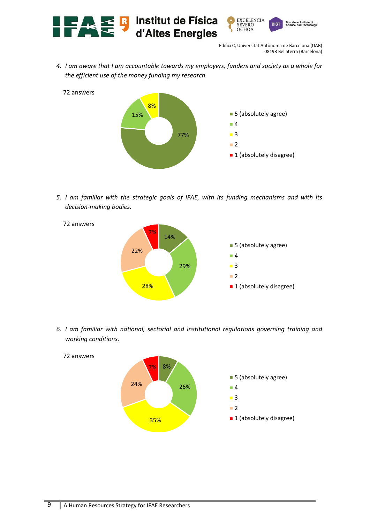

*4. I am aware that I am accountable towards my employers, funders and society as a whole for the efficient use of the money funding my research.* 



*5. I am familiar with the strategic goals of IFAE, with its funding mechanisms and with its decision‐making bodies.* 



*6. I am familiar with national, sectorial and institutional regulations governing training and working conditions.* 

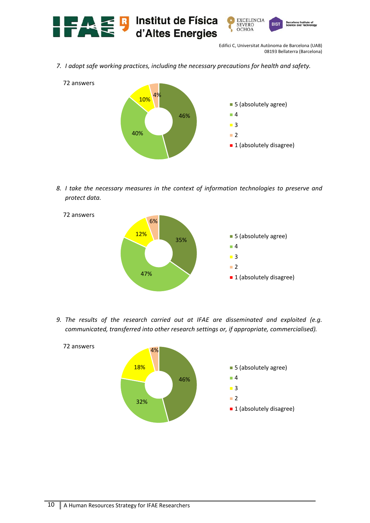

*7. I adopt safe working practices, including the necessary precautions for health and safety.* 



*8. I take the necessary measures in the context of information technologies to preserve and protect data.* 



*9. The results of the research carried out at IFAE are disseminated and exploited (e.g. communicated, transferred into other research settings or, if appropriate, commercialised).* 

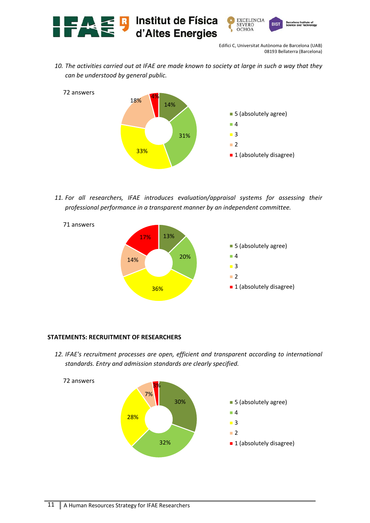

*10. The activities carried out at IFAE are made known to society at large in such a way that they can be understood by general public.* 



*11. For all researchers, IFAE introduces evaluation/appraisal systems for assessing their professional performance in a transparent manner by an independent committee.* 



#### **STATEMENTS: RECRUITMENT OF RESEARCHERS**

*12. IFAE's recruitment processes are open, efficient and transparent according to international standards. Entry and admission standards are clearly specified.*

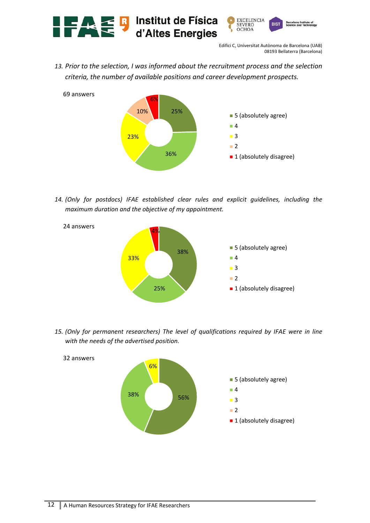

*13. Prior to the selection, I was informed about the recruitment process and the selection criteria, the number of available positions and career development prospects.*



*14. (Only for postdocs) IFAE established clear rules and explicit guidelines, including the maximum duration and the objective of my appointment.* 



*15. (Only for permanent researchers) The level of qualifications required by IFAE were in line with the needs of the advertised position.* 

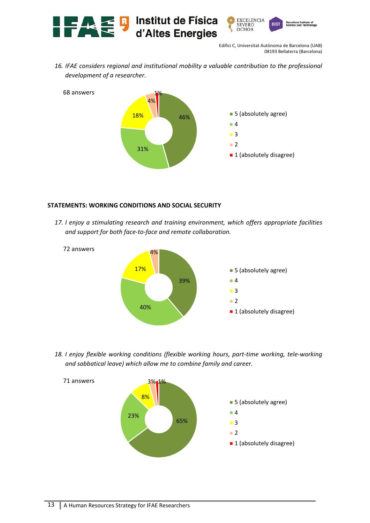

*16. IFAE considers regional and institutional mobility a valuable contribution to the professional development of a researcher.* 



#### **STATEMENTS: WORKING CONDITIONS AND SOCIAL SECURITY**

*17. I enjoy a stimulating research and training environment, which offers appropriate facilities and support for both face‐to‐face and remote collaboration.* 



*18. I enjoy flexible working conditions (flexible working hours, part‐time working, tele‐working and sabbatical leave) which allow me to combine family and career.* 

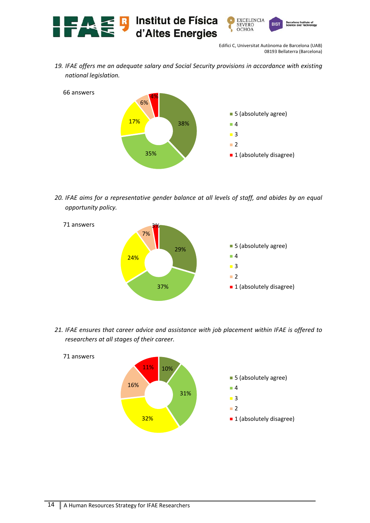

*19. IFAE offers me an adequate salary and Social Security provisions in accordance with existing national legislation.* 



*20. IFAE aims for a representative gender balance at all levels of staff, and abides by an equal opportunity policy.* 



*21. IFAE ensures that career advice and assistance with job placement within IFAE is offered to researchers at all stages of their career.* 

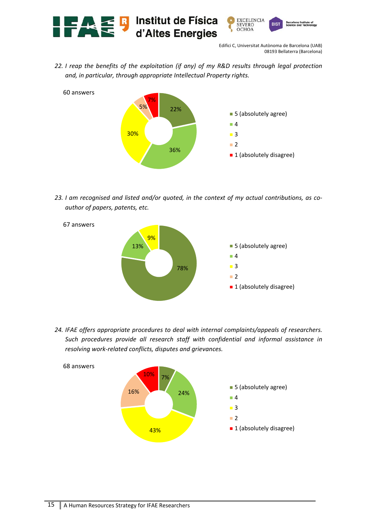

*22. I reap the benefits of the exploitation (if any) of my R&D results through legal protection and, in particular, through appropriate Intellectual Property rights.* 



*23. I am recognised and listed and/or quoted, in the context of my actual contributions, as co‐ author of papers, patents, etc.* 



*24. IFAE offers appropriate procedures to deal with internal complaints/appeals of researchers. Such procedures provide all research staff with confidential and informal assistance in resolving work‐related conflicts, disputes and grievances.* 

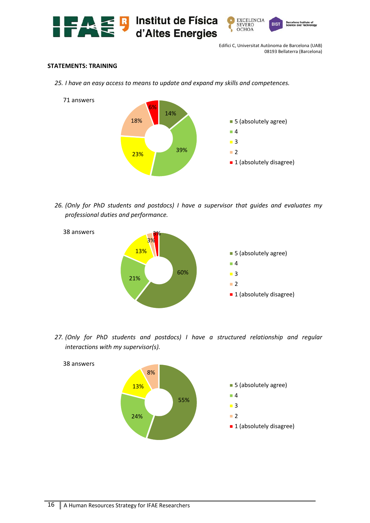



#### **STATEMENTS: TRAINING**

*25. I have an easy access to means to update and expand my skills and competences.* 



*26. (Only for PhD students and postdocs) I have a supervisor that guides and evaluates my professional duties and performance.* 



*27. (Only for PhD students and postdocs) I have a structured relationship and regular interactions with my supervisor(s).* 

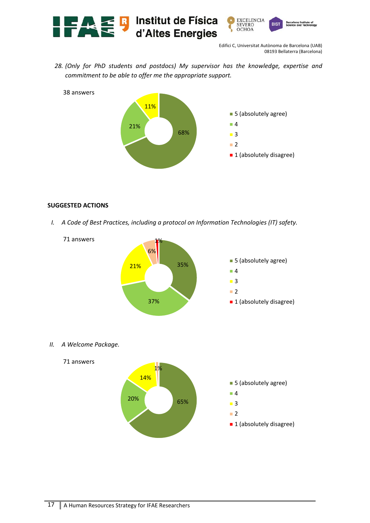

*28. (Only for PhD students and postdocs) My supervisor has the knowledge, expertise and commitment to be able to offer me the appropriate support.* 



#### **SUGGESTED ACTIONS**

*I. A Code of Best Practices, including a protocol on Information Technologies (IT) safety.* 



*II. A Welcome Package.* 

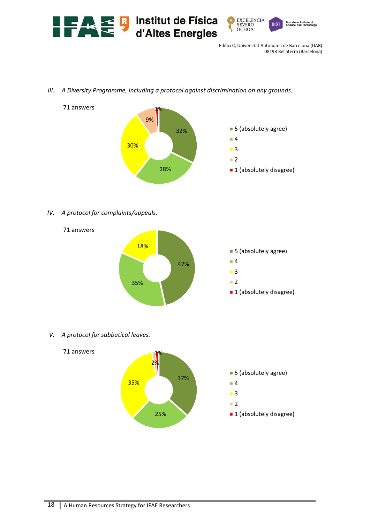

*III. A Diversity Programme, including a protocol against discrimination on any grounds.* 



*IV. A protocol for complaints/appeals.* 



*V. A protocol for sabbatical leaves.* 

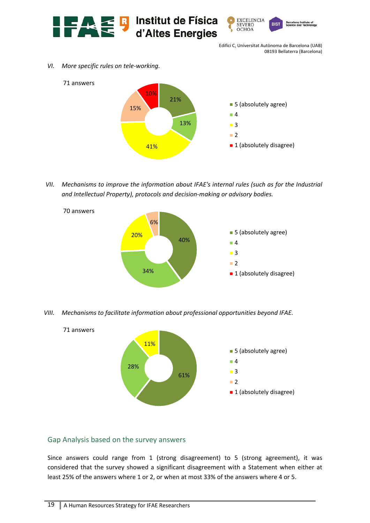



*VI. More specific rules on tele‐working.* 



*VII. Mechanisms to improve the information about IFAE's internal rules (such as for the Industrial and Intellectual Property), protocols and decision‐making or advisory bodies.* 



*VIII. Mechanisms to facilitate information about professional opportunities beyond IFAE.* 



# Gap Analysis based on the survey answers

Since answers could range from 1 (strong disagreement) to 5 (strong agreement), it was considered that the survey showed a significant disagreement with a Statement when either at least 25% of the answers where 1 or 2, or when at most 33% of the answers where 4 or 5.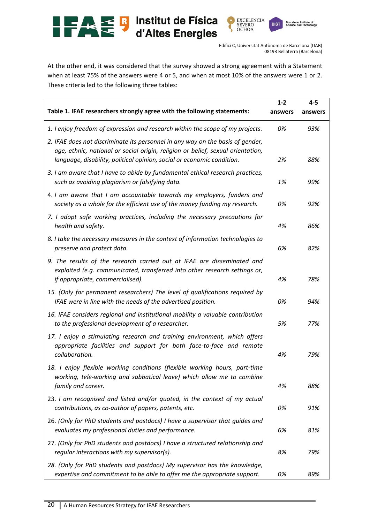

**BIST** 

**Barcelo**<br>Science

At the other end, it was considered that the survey showed a strong agreement with a Statement when at least 75% of the answers were 4 or 5, and when at most 10% of the answers were 1 or 2. These criteria led to the following three tables:

|                                                                                                                                                                                                                                             | $1 - 2$ | $4 - 5$ |
|---------------------------------------------------------------------------------------------------------------------------------------------------------------------------------------------------------------------------------------------|---------|---------|
| Table 1. IFAE researchers strongly agree with the following statements:                                                                                                                                                                     | answers | answers |
| 1. I enjoy freedom of expression and research within the scope of my projects.                                                                                                                                                              | 0%      | 93%     |
| 2. IFAE does not discriminate its personnel in any way on the basis of gender,<br>age, ethnic, national or social origin, religion or belief, sexual orientation,<br>language, disability, political opinion, social or economic condition. | 2%      | 88%     |
| 3. I am aware that I have to abide by fundamental ethical research practices,<br>such as avoiding plagiarism or falsifying data.                                                                                                            | 1%      | 99%     |
| 4. I am aware that I am accountable towards my employers, funders and<br>society as a whole for the efficient use of the money funding my research.                                                                                         | 0%      | 92%     |
| 7. I adopt safe working practices, including the necessary precautions for<br>health and safety.                                                                                                                                            | 4%      | 86%     |
| 8. I take the necessary measures in the context of information technologies to<br>preserve and protect data.                                                                                                                                | 6%      | 82%     |
| 9. The results of the research carried out at IFAE are disseminated and<br>exploited (e.g. communicated, transferred into other research settings or,<br>if appropriate, commercialised).                                                   | 4%      | 78%     |
| 15. (Only for permanent researchers) The level of qualifications required by<br>IFAE were in line with the needs of the advertised position.                                                                                                | 0%      | 94%     |
| 16. IFAE considers regional and institutional mobility a valuable contribution<br>to the professional development of a researcher.                                                                                                          | 5%      | 77%     |
| 17. I enjoy a stimulating research and training environment, which offers<br>appropriate facilities and support for both face-to-face and remote<br>collaboration.                                                                          | 4%      | 79%     |
| 18. I enjoy flexible working conditions (flexible working hours, part-time<br>working, tele-working and sabbatical leave) which allow me to combine<br>family and career.                                                                   | 4%      | 88%     |
| 23. I am recognised and listed and/or quoted, in the context of my actual<br>contributions, as co-author of papers, patents, etc.                                                                                                           | 0%      | 91%     |
| 26. (Only for PhD students and postdocs) I have a supervisor that guides and<br>evaluates my professional duties and performance.                                                                                                           | 6%      | 81%     |
| 27. (Only for PhD students and postdocs) I have a structured relationship and<br>regular interactions with my supervisor(s).                                                                                                                | 8%      | 79%     |
| 28. (Only for PhD students and postdocs) My supervisor has the knowledge,<br>expertise and commitment to be able to offer me the appropriate support.                                                                                       | 0%      | 89%     |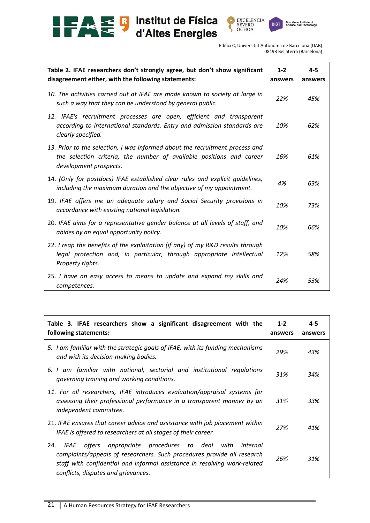



| Table 2. IFAE researchers don't strongly agree, but don't show significant<br>disagreement either, with the following statements:                                              | $1 - 2$<br>answers | $4 - 5$<br>answers |
|--------------------------------------------------------------------------------------------------------------------------------------------------------------------------------|--------------------|--------------------|
| 10. The activities carried out at IFAE are made known to society at large in<br>such a way that they can be understood by general public.                                      | 22%                | 45%                |
| 12. IFAE's recruitment processes are open, efficient and transparent<br>according to international standards. Entry and admission standards are<br>clearly specified.          | 10%                | 62%                |
| 13. Prior to the selection, I was informed about the recruitment process and<br>the selection criteria, the number of available positions and career<br>development prospects. | 16%                | 61%                |
| 14. (Only for postdocs) IFAE established clear rules and explicit quidelines,<br>including the maximum duration and the objective of my appointment.                           | 4%                 | 63%                |
| 19. IFAE offers me an adequate salary and Social Security provisions in<br>accordance with existing national legislation.                                                      | 10%                | 73%                |
| 20. IFAE aims for a representative gender balance at all levels of staff, and<br>abides by an equal opportunity policy.                                                        | 10%                | 66%                |
| 22. I reap the benefits of the exploitation (if any) of my R&D results through<br>legal protection and, in particular, through appropriate Intellectual<br>Property rights.    | 12%                | 58%                |
| 25. I have an easy access to means to update and expand my skills and<br>competences.                                                                                          | 24%                | 53%                |

| Table 3. IFAE researchers show a significant disagreement with the<br>following statements:                                                                                                                                                                                | $1 - 2$<br>answers | $4 - 5$<br>answers |
|----------------------------------------------------------------------------------------------------------------------------------------------------------------------------------------------------------------------------------------------------------------------------|--------------------|--------------------|
| 5. I am familiar with the strategic goals of IFAE, with its funding mechanisms<br>and with its decision-making bodies.                                                                                                                                                     | 29%                | 43%                |
| 6. I am familiar with national, sectorial and institutional regulations<br>governing training and working conditions.                                                                                                                                                      | 31%                | 34%                |
| 11. For all researchers, IFAE introduces evaluation/appraisal systems for<br>assessing their professional performance in a transparent manner by an<br>independent committee.                                                                                              | 31%                | 33%                |
| 21. IFAE ensures that career advice and assistance with job placement within<br>IFAE is offered to researchers at all stages of their career.                                                                                                                              | 27%                | 41%                |
| appropriate procedures to deal<br>offers<br>24.<br>IFAE<br>with<br>internal<br>complaints/appeals of researchers. Such procedures provide all research<br>staff with confidential and informal assistance in resolving work-related<br>conflicts, disputes and grievances. | 26%                | 31%                |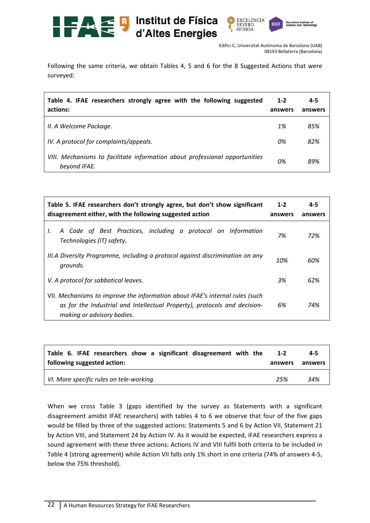

Following the same criteria, we obtain Tables 4, 5 and 6 for the 8 Suggested Actions that were surveyed:

| Table 4. IFAE researchers strongly agree with the following suggested<br>actions:           | $1 - 2$<br>answers | $4 - 5$<br>answers |
|---------------------------------------------------------------------------------------------|--------------------|--------------------|
| II. A Welcome Package.                                                                      | 1%                 | 85%                |
| IV. A protocol for complaints/appeals.                                                      | 0%                 | 82%                |
| VIII. Mechanisms to facilitate information about professional opportunities<br>beyond IFAE. | 0%                 | 89%                |

| Table 5. IFAE researchers don't strongly agree, but don't show significant<br>disagreement either, with the following suggested action                                                  | $1 - 2$<br>answers | $4 - 5$<br>answers |
|-----------------------------------------------------------------------------------------------------------------------------------------------------------------------------------------|--------------------|--------------------|
| A Code of Best Practices, including a protocol on Information<br>I.<br>Technologies (IT) safety.                                                                                        | 7%                 | 72%                |
| III.A Diversity Programme, including a protocol against discrimination on any<br>grounds.                                                                                               | 10%                | 60%                |
| V. A protocol for sabbatical leaves.                                                                                                                                                    | 3%                 | 62%                |
| VII. Mechanisms to improve the information about IFAE's internal rules (such<br>as for the Industrial and Intellectual Property), protocols and decision-<br>making or advisory bodies. |                    | 74%                |

| Table 6. IFAE researchers show a significant disagreement with the | $1 - 2$ | 4-5     |
|--------------------------------------------------------------------|---------|---------|
| following suggested action:                                        | answers | answers |
| VI. More specific rules on tele-working.                           | 25%     | 34%     |

When we cross Table 3 (gaps identified by the survey as Statements with a significant disagreement amidst IFAE researchers) with tables 4 to 6 we observe that four of the five gaps would be filled by three of the suggested actions: Statements 5 and 6 by Action VII, Statement 21 by Action VIII, and Statement 24 by Action IV. As it would be expected, IFAE researchers express a sound agreement with these three actions: Actions IV and VIII fulfil both criteria to be included in Table 4 (strong agreement) while Action VII falls only 1% short in one criteria (74% of answers 4‐5, below the 75% threshold).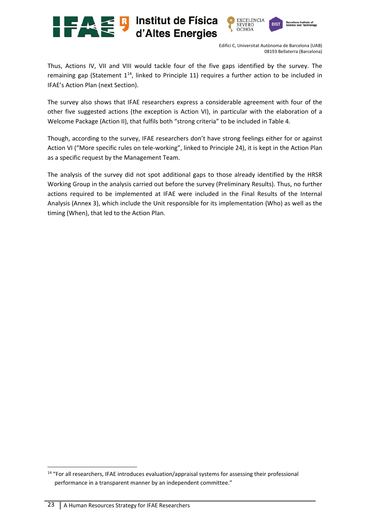



Thus, Actions IV, VII and VIII would tackle four of the five gaps identified by the survey. The remaining gap (Statement  $1^{14}$ , linked to Principle 11) requires a further action to be included in IFAE's Action Plan (next Section).

The survey also shows that IFAE researchers express a considerable agreement with four of the other five suggested actions (the exception is Action VI), in particular with the elaboration of a Welcome Package (Action II), that fulfils both "strong criteria" to be included in Table 4.

Though, according to the survey, IFAE researchers don't have strong feelings either for or against Action VI ("More specific rules on tele‐working", linked to Principle 24), it is kept in the Action Plan as a specific request by the Management Team.

The analysis of the survey did not spot additional gaps to those already identified by the HRSR Working Group in the analysis carried out before the survey (Preliminary Results). Thus, no further actions required to be implemented at IFAE were included in the Final Results of the Internal Analysis (Annex 3), which include the Unit responsible for its implementation (Who) as well as the timing (When), that led to the Action Plan.

<sup>14 &</sup>quot;For all researchers, IFAE introduces evaluation/appraisal systems for assessing their professional performance in a transparent manner by an independent committee."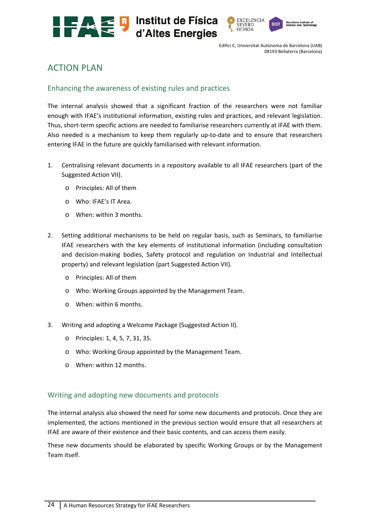



# ACTION PLAN

# Enhancing the awareness of existing rules and practices

The internal analysis showed that a significant fraction of the researchers were not familiar enough with IFAE's institutional information, existing rules and practices, and relevant legislation. Thus, short-term specific actions are needed to familiarise researchers currently at IFAE with them. Also needed is a mechanism to keep them regularly up-to-date and to ensure that researchers entering IFAE in the future are quickly familiarised with relevant information.

- 1. Centralising relevant documents in a repository available to all IFAE researchers (part of the Suggested Action VII).
	- o Principles: All of them
	- o Who: IFAE's IT Area.
	- o When: within 3 months.
- 2. Setting additional mechanisms to be held on regular basis, such as Seminars, to familiarise IFAE researchers with the key elements of institutional information (including consultation and decision-making bodies, Safety protocol and regulation on Industrial and Intellectual property) and relevant legislation (part Suggested Action VII).
	- o Principles: All of them
	- o Who: Working Groups appointed by the Management Team.
	- o When: within 6 months.
- 3. Writing and adopting a Welcome Package (Suggested Action II).
	- o Principles: 1, 4, 5, 7, 31, 35.
	- o Who: Working Group appointed by the Management Team.
	- o When: within 12 months.

# Writing and adopting new documents and protocols

The internal analysis also showed the need for some new documents and protocols. Once they are implemented, the actions mentioned in the previous section would ensure that all researchers at IFAE are aware of their existence and their basic contents, and can access them easily.

These new documents should be elaborated by specific Working Groups or by the Management Team itself.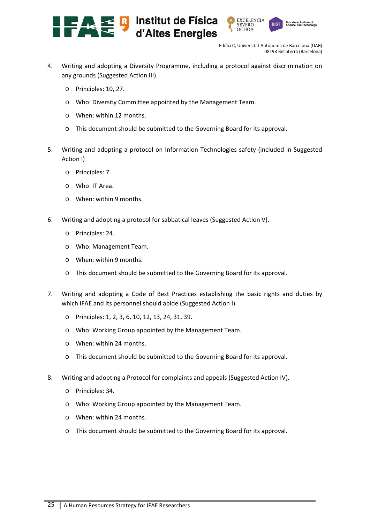



- 4. Writing and adopting a Diversity Programme, including a protocol against discrimination on any grounds (Suggested Action III).
	- o Principles: 10, 27.
	- o Who: Diversity Committee appointed by the Management Team.
	- o When: within 12 months.
	- o This document should be submitted to the Governing Board for its approval.
- 5. Writing and adopting a protocol on Information Technologies safety (included in Suggested Action I)
	- o Principles: 7.
	- o Who: IT Area.
	- o When: within 9 months.
- 6. Writing and adopting a protocol for sabbatical leaves (Suggested Action V).
	- o Principles: 24.
	- o Who: Management Team.
	- o When: within 9 months.
	- o This document should be submitted to the Governing Board for its approval.
- 7. Writing and adopting a Code of Best Practices establishing the basic rights and duties by which IFAE and its personnel should abide (Suggested Action I).
	- o Principles: 1, 2, 3, 6, 10, 12, 13, 24, 31, 39.
	- o Who: Working Group appointed by the Management Team.
	- o When: within 24 months.
	- o This document should be submitted to the Governing Board for its approval.
- 8. Writing and adopting a Protocol for complaints and appeals (Suggested Action IV).
	- o Principles: 34.
	- o Who: Working Group appointed by the Management Team.
	- o When: within 24 months.
	- o This document should be submitted to the Governing Board for its approval.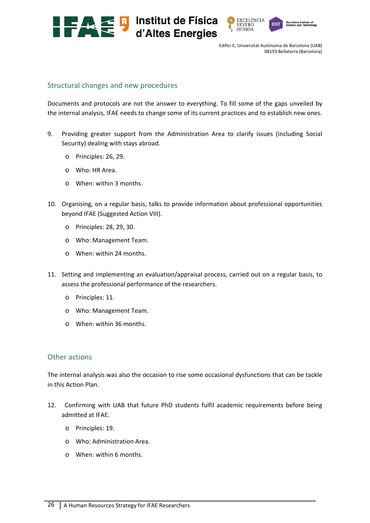



#### Structural changes and new procedures

Documents and protocols are not the answer to everything. To fill some of the gaps unveiled by the internal analysis, IFAE needs to change some of its current practices and to establish new ones.

- 9. Providing greater support from the Administration Area to clarify issues (including Social Security) dealing with stays abroad.
	- o Principles: 26, 29.
	- o Who: HR Area.
	- o When: within 3 months.
- 10. Organising, on a regular basis, talks to provide information about professional opportunities beyond IFAE (Suggested Action VIII).
	- o Principles: 28, 29, 30.
	- o Who: Management Team.
	- o When: within 24 months.
- 11. Setting and implementing an evaluation/appraisal process, carried out on a regular basis, to assess the professional performance of the researchers.
	- o Principles: 11.
	- o Who: Management Team.
	- o When: within 36 months.

#### Other actions

The internal analysis was also the occasion to rise some occasional dysfunctions that can be tackle in this Action Plan.

- 12. Confirming with UAB that future PhD students fulfil academic requirements before being admitted at IFAE.
	- o Principles: 19.
	- o Who: Administration Area.
	- o When: within 6 months.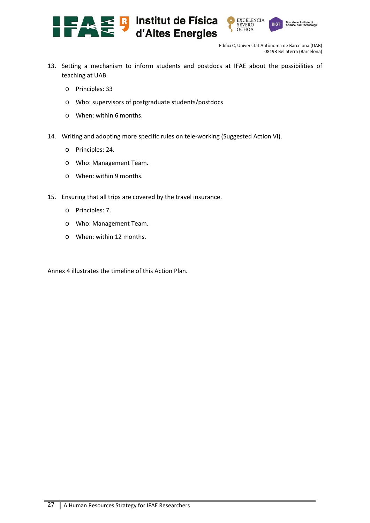



- 13. Setting a mechanism to inform students and postdocs at IFAE about the possibilities of teaching at UAB.
	- o Principles: 33
	- o Who: supervisors of postgraduate students/postdocs
	- o When: within 6 months.
- 14. Writing and adopting more specific rules on tele-working (Suggested Action VI).
	- o Principles: 24.
	- o Who: Management Team.
	- o When: within 9 months.
- 15. Ensuring that all trips are covered by the travel insurance.
	- o Principles: 7.
	- o Who: Management Team.
	- o When: within 12 months.

Annex 4 illustrates the timeline of this Action Plan.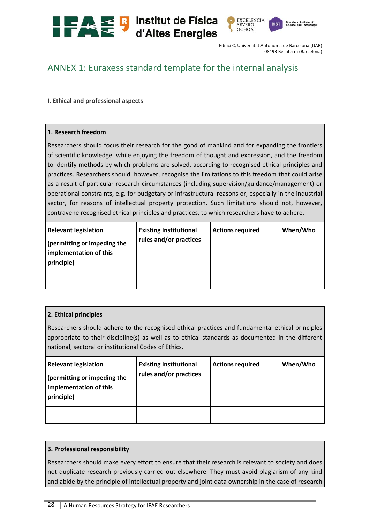

# ANNEX 1: Euraxess standard template for the internal analysis

#### **I. Ethical and professional aspects**

#### **1. Research freedom**

Researchers should focus their research for the good of mankind and for expanding the frontiers of scientific knowledge, while enjoying the freedom of thought and expression, and the freedom to identify methods by which problems are solved, according to recognised ethical principles and practices. Researchers should, however, recognise the limitations to this freedom that could arise as a result of particular research circumstances (including supervision/guidance/management) or operational constraints, e.g. for budgetary or infrastructural reasons or, especially in the industrial sector, for reasons of intellectual property protection. Such limitations should not, however, contravene recognised ethical principles and practices, to which researchers have to adhere.

| <b>Relevant legislation</b><br>(permitting or impeding the<br>implementation of this<br>principle) | <b>Existing Institutional</b><br>rules and/or practices | <b>Actions required</b> | When/Who |
|----------------------------------------------------------------------------------------------------|---------------------------------------------------------|-------------------------|----------|
|                                                                                                    |                                                         |                         |          |

#### **2. Ethical principles**

Researchers should adhere to the recognised ethical practices and fundamental ethical principles appropriate to their discipline(s) as well as to ethical standards as documented in the different national, sectoral or institutional Codes of Ethics.

| <b>Relevant legislation</b><br>(permitting or impeding the<br>implementation of this<br>principle) | <b>Existing Institutional</b><br>rules and/or practices | <b>Actions required</b> | When/Who |
|----------------------------------------------------------------------------------------------------|---------------------------------------------------------|-------------------------|----------|
|                                                                                                    |                                                         |                         |          |

#### **3. Professional responsibility**

Researchers should make every effort to ensure that their research is relevant to society and does not duplicate research previously carried out elsewhere. They must avoid plagiarism of any kind and abide by the principle of intellectual property and joint data ownership in the case of research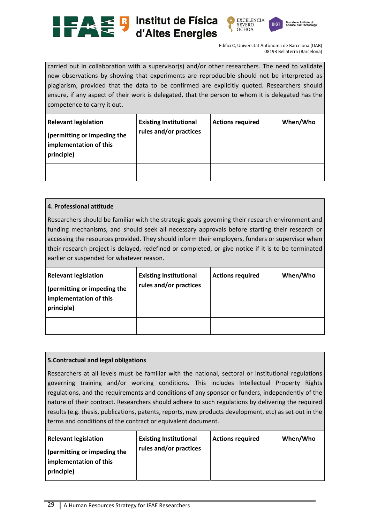





carried out in collaboration with a supervisor(s) and/or other researchers. The need to validate new observations by showing that experiments are reproducible should not be interpreted as plagiarism, provided that the data to be confirmed are explicitly quoted. Researchers should ensure, if any aspect of their work is delegated, that the person to whom it is delegated has the competence to carry it out.

| <b>Relevant legislation</b><br>(permitting or impeding the<br>implementation of this<br>principle) | <b>Existing Institutional</b><br>rules and/or practices | <b>Actions required</b> | When/Who |
|----------------------------------------------------------------------------------------------------|---------------------------------------------------------|-------------------------|----------|
|                                                                                                    |                                                         |                         |          |

#### **4. Professional attitude**

Researchers should be familiar with the strategic goals governing their research environment and funding mechanisms, and should seek all necessary approvals before starting their research or accessing the resources provided. They should inform their employers, funders or supervisor when their research project is delayed, redefined or completed, or give notice if it is to be terminated earlier or suspended for whatever reason.

| <b>Relevant legislation</b><br>(permitting or impeding the<br>implementation of this<br>principle) | <b>Existing Institutional</b><br>rules and/or practices | <b>Actions required</b> | When/Who |
|----------------------------------------------------------------------------------------------------|---------------------------------------------------------|-------------------------|----------|
|                                                                                                    |                                                         |                         |          |

#### **5.Contractual and legal obligations**

Researchers at all levels must be familiar with the national, sectoral or institutional regulations governing training and/or working conditions. This includes Intellectual Property Rights regulations, and the requirements and conditions of any sponsor or funders, independently of the nature of their contract. Researchers should adhere to such regulations by delivering the required results (e.g. thesis, publications, patents, reports, new products development, etc) as set out in the terms and conditions of the contract or equivalent document.

| <b>Relevant legislation</b>                                         | <b>Existing Institutional</b> | <b>Actions required</b> | When/Who |
|---------------------------------------------------------------------|-------------------------------|-------------------------|----------|
| (permitting or impeding the<br>implementation of this<br>principle) | rules and/or practices        |                         |          |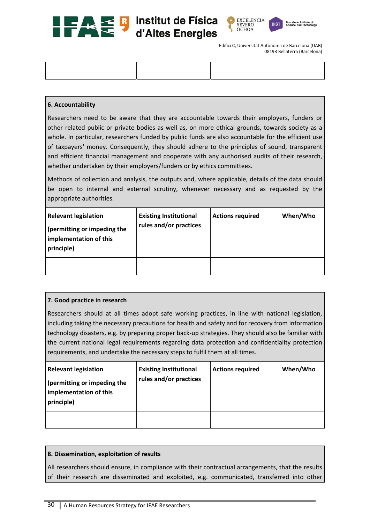





#### **6. Accountability**

Researchers need to be aware that they are accountable towards their employers, funders or other related public or private bodies as well as, on more ethical grounds, towards society as a whole. In particular, researchers funded by public funds are also accountable for the efficient use of taxpayers' money. Consequently, they should adhere to the principles of sound, transparent and efficient financial management and cooperate with any authorised audits of their research, whether undertaken by their employers/funders or by ethics committees.

Methods of collection and analysis, the outputs and, where applicable, details of the data should be open to internal and external scrutiny, whenever necessary and as requested by the appropriate authorities.

| <b>Relevant legislation</b><br>(permitting or impeding the<br>implementation of this<br>principle) | <b>Existing Institutional</b><br>rules and/or practices | <b>Actions required</b> | When/Who |
|----------------------------------------------------------------------------------------------------|---------------------------------------------------------|-------------------------|----------|
|                                                                                                    |                                                         |                         |          |

#### **7. Good practice in research**

Researchers should at all times adopt safe working practices, in line with national legislation, including taking the necessary precautions for health and safety and for recovery from information technology disasters, e.g. by preparing proper back‐up strategies. They should also be familiar with the current national legal requirements regarding data protection and confidentiality protection requirements, and undertake the necessary steps to fulfil them at all times.

| <b>Relevant legislation</b><br>(permitting or impeding the<br>implementation of this<br>principle) | <b>Existing Institutional</b><br>rules and/or practices | <b>Actions required</b> | When/Who |
|----------------------------------------------------------------------------------------------------|---------------------------------------------------------|-------------------------|----------|
|                                                                                                    |                                                         |                         |          |

# **8. Dissemination, exploitation of results**

All researchers should ensure, in compliance with their contractual arrangements, that the results of their research are disseminated and exploited, e.g. communicated, transferred into other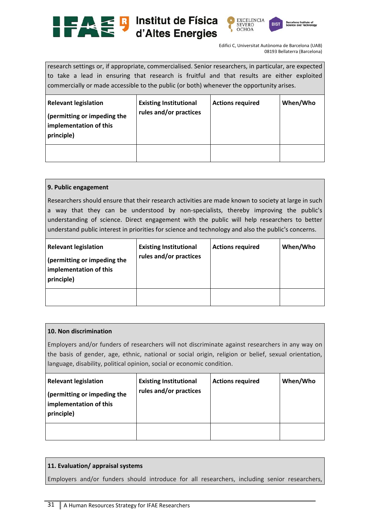





research settings or, if appropriate, commercialised. Senior researchers, in particular, are expected to take a lead in ensuring that research is fruitful and that results are either exploited commercially or made accessible to the public (or both) whenever the opportunity arises.

| <b>Relevant legislation</b><br>(permitting or impeding the<br>implementation of this<br>principle) | <b>Existing Institutional</b><br>rules and/or practices | <b>Actions required</b> | When/Who |
|----------------------------------------------------------------------------------------------------|---------------------------------------------------------|-------------------------|----------|
|                                                                                                    |                                                         |                         |          |

#### **9. Public engagement**

Researchers should ensure that their research activities are made known to society at large in such a way that they can be understood by non-specialists, thereby improving the public's understanding of science. Direct engagement with the public will help researchers to better understand public interest in priorities for science and technology and also the public's concerns.

| <b>Relevant legislation</b><br>(permitting or impeding the<br>implementation of this<br>principle) | <b>Existing Institutional</b><br>rules and/or practices | <b>Actions required</b> | When/Who |
|----------------------------------------------------------------------------------------------------|---------------------------------------------------------|-------------------------|----------|
|                                                                                                    |                                                         |                         |          |

#### **10. Non discrimination**

Employers and/or funders of researchers will not discriminate against researchers in any way on the basis of gender, age, ethnic, national or social origin, religion or belief, sexual orientation, language, disability, political opinion, social or economic condition.

| <b>Relevant legislation</b><br>(permitting or impeding the<br>implementation of this<br>principle) | <b>Existing Institutional</b><br>rules and/or practices | <b>Actions required</b> | When/Who |
|----------------------------------------------------------------------------------------------------|---------------------------------------------------------|-------------------------|----------|
|                                                                                                    |                                                         |                         |          |

#### **11. Evaluation/ appraisal systems**

Employers and/or funders should introduce for all researchers, including senior researchers,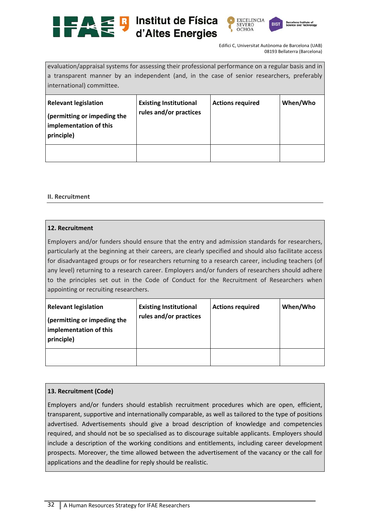





evaluation/appraisal systems for assessing their professional performance on a regular basis and in a transparent manner by an independent (and, in the case of senior researchers, preferably international) committee.

| <b>Relevant legislation</b><br>(permitting or impeding the<br>implementation of this<br>principle) | <b>Existing Institutional</b><br>rules and/or practices | <b>Actions required</b> | When/Who |
|----------------------------------------------------------------------------------------------------|---------------------------------------------------------|-------------------------|----------|
|                                                                                                    |                                                         |                         |          |

#### **II. Recruitment**

#### **12. Recruitment**

Employers and/or funders should ensure that the entry and admission standards for researchers, particularly at the beginning at their careers, are clearly specified and should also facilitate access for disadvantaged groups or for researchers returning to a research career, including teachers (of any level) returning to a research career. Employers and/or funders of researchers should adhere to the principles set out in the Code of Conduct for the Recruitment of Researchers when appointing or recruiting researchers.

| <b>Relevant legislation</b><br>(permitting or impeding the<br>implementation of this<br>principle) | <b>Existing Institutional</b><br>rules and/or practices | <b>Actions required</b> | When/Who |
|----------------------------------------------------------------------------------------------------|---------------------------------------------------------|-------------------------|----------|
|                                                                                                    |                                                         |                         |          |

#### **13. Recruitment (Code)**

Employers and/or funders should establish recruitment procedures which are open, efficient, transparent, supportive and internationally comparable, as well as tailored to the type of positions advertised. Advertisements should give a broad description of knowledge and competencies required, and should not be so specialised as to discourage suitable applicants. Employers should include a description of the working conditions and entitlements, including career development prospects. Moreover, the time allowed between the advertisement of the vacancy or the call for applications and the deadline for reply should be realistic.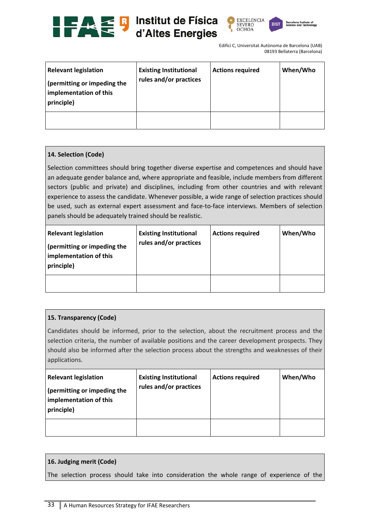





| <b>Relevant legislation</b><br>(permitting or impeding the<br>implementation of this<br>principle) | <b>Existing Institutional</b><br>rules and/or practices | <b>Actions required</b> | When/Who |
|----------------------------------------------------------------------------------------------------|---------------------------------------------------------|-------------------------|----------|
|                                                                                                    |                                                         |                         |          |

# **14. Selection (Code)**

Selection committees should bring together diverse expertise and competences and should have an adequate gender balance and, where appropriate and feasible, include members from different sectors (public and private) and disciplines, including from other countries and with relevant experience to assess the candidate. Whenever possible, a wide range of selection practices should be used, such as external expert assessment and face-to-face interviews. Members of selection panels should be adequately trained should be realistic.

| <b>Relevant legislation</b><br>(permitting or impeding the<br>implementation of this<br>principle) | <b>Existing Institutional</b><br>rules and/or practices | <b>Actions required</b> | When/Who |
|----------------------------------------------------------------------------------------------------|---------------------------------------------------------|-------------------------|----------|
|                                                                                                    |                                                         |                         |          |

# **15. Transparency (Code)**

Candidates should be informed, prior to the selection, about the recruitment process and the selection criteria, the number of available positions and the career development prospects. They should also be informed after the selection process about the strengths and weaknesses of their applications.

| <b>Relevant legislation</b><br>(permitting or impeding the<br>implementation of this<br>principle) | <b>Existing Institutional</b><br>rules and/or practices | <b>Actions required</b> | When/Who |
|----------------------------------------------------------------------------------------------------|---------------------------------------------------------|-------------------------|----------|
|                                                                                                    |                                                         |                         |          |

# **16. Judging merit (Code)**

The selection process should take into consideration the whole range of experience of the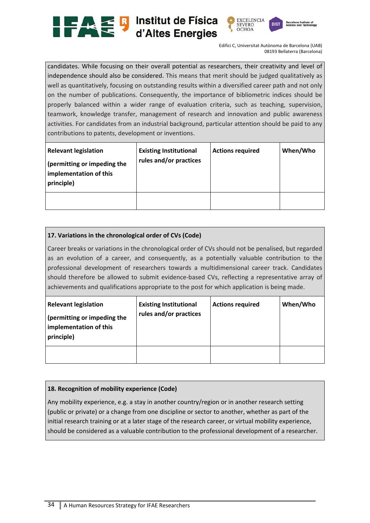



candidates. While focusing on their overall potential as researchers, their creativity and level of independence should also be considered. This means that merit should be judged qualitatively as well as quantitatively, focusing on outstanding results within a diversified career path and not only on the number of publications. Consequently, the importance of bibliometric indices should be properly balanced within a wider range of evaluation criteria, such as teaching, supervision, teamwork, knowledge transfer, management of research and innovation and public awareness activities. For candidates from an industrial background, particular attention should be paid to any contributions to patents, development or inventions.

| <b>Relevant legislation</b><br>(permitting or impeding the<br>implementation of this<br>principle) | <b>Existing Institutional</b><br>rules and/or practices | <b>Actions required</b> | When/Who |
|----------------------------------------------------------------------------------------------------|---------------------------------------------------------|-------------------------|----------|
|                                                                                                    |                                                         |                         |          |

#### **17. Variations in the chronological order of CVs (Code)**

Career breaks or variations in the chronological order of CVs should not be penalised, but regarded as an evolution of a career, and consequently, as a potentially valuable contribution to the professional development of researchers towards a multidimensional career track. Candidates should therefore be allowed to submit evidence-based CVs, reflecting a representative array of achievements and qualifications appropriate to the post for which application is being made.

| <b>Relevant legislation</b><br>(permitting or impeding the<br>implementation of this<br>principle) | <b>Existing Institutional</b><br>rules and/or practices | <b>Actions required</b> | When/Who |
|----------------------------------------------------------------------------------------------------|---------------------------------------------------------|-------------------------|----------|
|                                                                                                    |                                                         |                         |          |

#### **18. Recognition of mobility experience (Code)**

Any mobility experience, e.g. a stay in another country/region or in another research setting (public or private) or a change from one discipline or sector to another, whether as part of the initial research training or at a later stage of the research career, or virtual mobility experience, should be considered as a valuable contribution to the professional development of a researcher.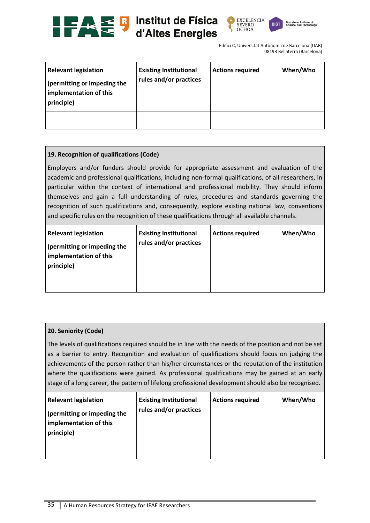





| <b>Relevant legislation</b><br>(permitting or impeding the<br>implementation of this<br>principle) | <b>Existing Institutional</b><br>rules and/or practices | <b>Actions required</b> | When/Who |
|----------------------------------------------------------------------------------------------------|---------------------------------------------------------|-------------------------|----------|
|                                                                                                    |                                                         |                         |          |

## **19. Recognition of qualifications (Code)**

Employers and/or funders should provide for appropriate assessment and evaluation of the academic and professional qualifications, including non‐formal qualifications, of all researchers, in particular within the context of international and professional mobility. They should inform themselves and gain a full understanding of rules, procedures and standards governing the recognition of such qualifications and, consequently, explore existing national law, conventions and specific rules on the recognition of these qualifications through all available channels.

| <b>Relevant legislation</b><br>(permitting or impeding the<br>implementation of this<br>principle) | <b>Existing Institutional</b><br>rules and/or practices | <b>Actions required</b> | When/Who |
|----------------------------------------------------------------------------------------------------|---------------------------------------------------------|-------------------------|----------|
|                                                                                                    |                                                         |                         |          |

#### **20. Seniority (Code)**

The levels of qualifications required should be in line with the needs of the position and not be set as a barrier to entry. Recognition and evaluation of qualifications should focus on judging the achievements of the person rather than his/her circumstances or the reputation of the institution where the qualifications were gained. As professional qualifications may be gained at an early stage of a long career, the pattern of lifelong professional development should also be recognised.

| <b>Relevant legislation</b><br>(permitting or impeding the<br>implementation of this<br>principle) | <b>Existing Institutional</b><br>rules and/or practices | <b>Actions required</b> | When/Who |
|----------------------------------------------------------------------------------------------------|---------------------------------------------------------|-------------------------|----------|
|                                                                                                    |                                                         |                         |          |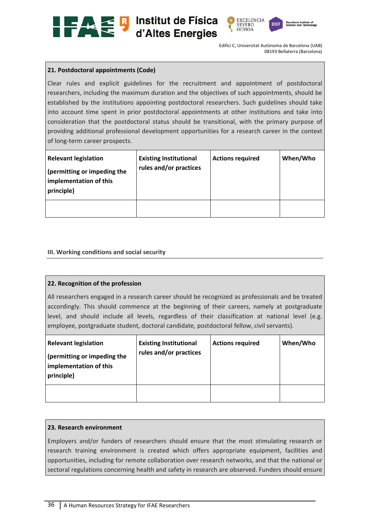





# **21. Postdoctoral appointments (Code)**

Clear rules and explicit guidelines for the recruitment and appointment of postdoctoral researchers, including the maximum duration and the objectives of such appointments, should be established by the institutions appointing postdoctoral researchers. Such guidelines should take into account time spent in prior postdoctoral appointments at other institutions and take into consideration that the postdoctoral status should be transitional, with the primary purpose of providing additional professional development opportunities for a research career in the context of long‐term career prospects.

| <b>Relevant legislation</b><br>(permitting or impeding the<br>implementation of this<br>principle) | <b>Existing Institutional</b><br>rules and/or practices | <b>Actions required</b> | When/Who |
|----------------------------------------------------------------------------------------------------|---------------------------------------------------------|-------------------------|----------|
|                                                                                                    |                                                         |                         |          |

# **III. Working conditions and social security**

#### **22. Recognition of the profession**

All researchers engaged in a research career should be recognized as professionals and be treated accordingly. This should commence at the beginning of their careers, namely at postgraduate level, and should include all levels, regardless of their classification at national level (e.g. employee, postgraduate student, doctoral candidate, postdoctoral fellow, civil servants).

| <b>Relevant legislation</b><br>(permitting or impeding the<br>implementation of this<br>principle) | <b>Existing Institutional</b><br>rules and/or practices | <b>Actions required</b> | When/Who |
|----------------------------------------------------------------------------------------------------|---------------------------------------------------------|-------------------------|----------|
|                                                                                                    |                                                         |                         |          |

#### **23. Research environment**

Employers and/or funders of researchers should ensure that the most stimulating research or research training environment is created which offers appropriate equipment, facilities and opportunities, including for remote collaboration over research networks, and that the national or sectoral regulations concerning health and safety in research are observed. Funders should ensure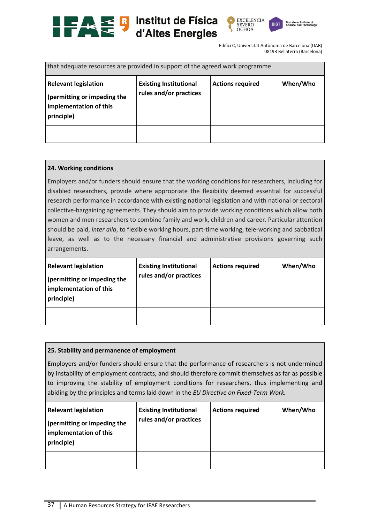





| that adequate resources are provided in support of the agreed work programme.                      |                                                         |                         |          |
|----------------------------------------------------------------------------------------------------|---------------------------------------------------------|-------------------------|----------|
| <b>Relevant legislation</b><br>(permitting or impeding the<br>implementation of this<br>principle) | <b>Existing Institutional</b><br>rules and/or practices | <b>Actions required</b> | When/Who |
|                                                                                                    |                                                         |                         |          |

# **24. Working conditions**

Employers and/or funders should ensure that the working conditions for researchers, including for disabled researchers, provide where appropriate the flexibility deemed essential for successful research performance in accordance with existing national legislation and with national or sectoral collective‐bargaining agreements. They should aim to provide working conditions which allow both women and men researchers to combine family and work, children and career. Particular attention should be paid, *inter alia*, to flexible working hours, part‐time working, tele‐working and sabbatical leave, as well as to the necessary financial and administrative provisions governing such arrangements.

| <b>Relevant legislation</b><br>(permitting or impeding the<br>implementation of this<br>principle) | <b>Existing Institutional</b><br>rules and/or practices | <b>Actions required</b> | When/Who |
|----------------------------------------------------------------------------------------------------|---------------------------------------------------------|-------------------------|----------|
|                                                                                                    |                                                         |                         |          |

# **25. Stability and permanence of employment**

Employers and/or funders should ensure that the performance of researchers is not undermined by instability of employment contracts, and should therefore commit themselves as far as possible to improving the stability of employment conditions for researchers, thus implementing and abiding by the principles and terms laid down in the *EU Directive on Fixed‐Term Work.* 

| <b>Relevant legislation</b><br>(permitting or impeding the<br>implementation of this<br>principle) | <b>Existing Institutional</b><br>rules and/or practices | <b>Actions required</b> | When/Who |
|----------------------------------------------------------------------------------------------------|---------------------------------------------------------|-------------------------|----------|
|                                                                                                    |                                                         |                         |          |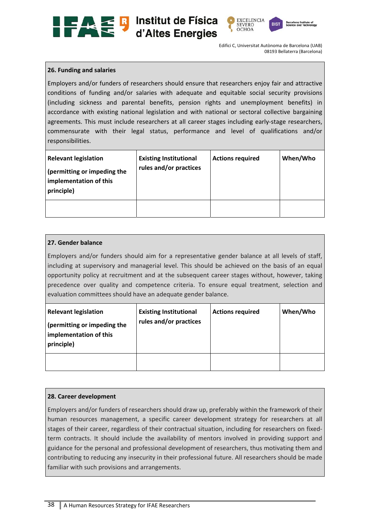





## **26. Funding and salaries**

Employers and/or funders of researchers should ensure that researchers enjoy fair and attractive conditions of funding and/or salaries with adequate and equitable social security provisions (including sickness and parental benefits, pension rights and unemployment benefits) in accordance with existing national legislation and with national or sectoral collective bargaining agreements. This must include researchers at all career stages including early-stage researchers, commensurate with their legal status, performance and level of qualifications and/or responsibilities.

| <b>Relevant legislation</b><br>(permitting or impeding the<br>implementation of this<br>principle) | <b>Existing Institutional</b><br>rules and/or practices | <b>Actions required</b> | When/Who |
|----------------------------------------------------------------------------------------------------|---------------------------------------------------------|-------------------------|----------|
|                                                                                                    |                                                         |                         |          |

# **27. Gender balance**

Employers and/or funders should aim for a representative gender balance at all levels of staff, including at supervisory and managerial level. This should be achieved on the basis of an equal opportunity policy at recruitment and at the subsequent career stages without, however, taking precedence over quality and competence criteria. To ensure equal treatment, selection and evaluation committees should have an adequate gender balance.

| <b>Relevant legislation</b><br>(permitting or impeding the<br>implementation of this<br>principle) | <b>Existing Institutional</b><br>rules and/or practices | <b>Actions required</b> | When/Who |
|----------------------------------------------------------------------------------------------------|---------------------------------------------------------|-------------------------|----------|
|                                                                                                    |                                                         |                         |          |

#### **28. Career development**

Employers and/or funders of researchers should draw up, preferably within the framework of their human resources management, a specific career development strategy for researchers at all stages of their career, regardless of their contractual situation, including for researchers on fixed‐ term contracts. It should include the availability of mentors involved in providing support and guidance for the personal and professional development of researchers, thus motivating them and contributing to reducing any insecurity in their professional future. All researchers should be made familiar with such provisions and arrangements.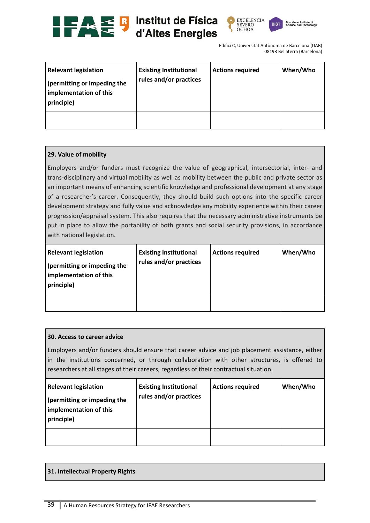





| <b>Relevant legislation</b><br>(permitting or impeding the<br>implementation of this<br>principle) | <b>Existing Institutional</b><br>rules and/or practices | <b>Actions required</b> | When/Who |
|----------------------------------------------------------------------------------------------------|---------------------------------------------------------|-------------------------|----------|
|                                                                                                    |                                                         |                         |          |

# **29. Value of mobility**

Employers and/or funders must recognize the value of geographical, intersectorial, inter- and trans‐disciplinary and virtual mobility as well as mobility between the public and private sector as an important means of enhancing scientific knowledge and professional development at any stage of a researcher's career. Consequently, they should build such options into the specific career development strategy and fully value and acknowledge any mobility experience within their career progression/appraisal system. This also requires that the necessary administrative instruments be put in place to allow the portability of both grants and social security provisions, in accordance with national legislation.

| <b>Relevant legislation</b><br>(permitting or impeding the<br>implementation of this<br>principle) | <b>Existing Institutional</b><br>rules and/or practices | <b>Actions required</b> | When/Who |
|----------------------------------------------------------------------------------------------------|---------------------------------------------------------|-------------------------|----------|
|                                                                                                    |                                                         |                         |          |

#### **30. Access to career advice**

Employers and/or funders should ensure that career advice and job placement assistance, either in the institutions concerned, or through collaboration with other structures, is offered to researchers at all stages of their careers, regardless of their contractual situation.

| <b>Relevant legislation</b><br>(permitting or impeding the<br>implementation of this<br>principle) | <b>Existing Institutional</b><br>rules and/or practices | <b>Actions required</b> | When/Who |
|----------------------------------------------------------------------------------------------------|---------------------------------------------------------|-------------------------|----------|
|                                                                                                    |                                                         |                         |          |

# **31. Intellectual Property Rights**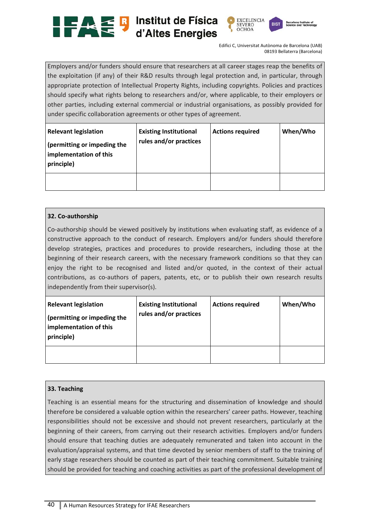





Employers and/or funders should ensure that researchers at all career stages reap the benefits of the exploitation (if any) of their R&D results through legal protection and, in particular, through appropriate protection of Intellectual Property Rights, including copyrights. Policies and practices should specify what rights belong to researchers and/or, where applicable, to their employers or other parties, including external commercial or industrial organisations, as possibly provided for under specific collaboration agreements or other types of agreement.

| <b>Relevant legislation</b><br>(permitting or impeding the<br>implementation of this<br>principle) | <b>Existing Institutional</b><br>rules and/or practices | <b>Actions required</b> | When/Who |
|----------------------------------------------------------------------------------------------------|---------------------------------------------------------|-------------------------|----------|
|                                                                                                    |                                                         |                         |          |

# **32. Co‐authorship**

Co-authorship should be viewed positively by institutions when evaluating staff, as evidence of a constructive approach to the conduct of research. Employers and/or funders should therefore develop strategies, practices and procedures to provide researchers, including those at the beginning of their research careers, with the necessary framework conditions so that they can enjoy the right to be recognised and listed and/or quoted, in the context of their actual contributions, as co-authors of papers, patents, etc, or to publish their own research results independently from their supervisor(s).

| <b>Relevant legislation</b><br>(permitting or impeding the<br>implementation of this<br>principle) | <b>Existing Institutional</b><br>rules and/or practices | <b>Actions required</b> | When/Who |
|----------------------------------------------------------------------------------------------------|---------------------------------------------------------|-------------------------|----------|
|                                                                                                    |                                                         |                         |          |

# **33. Teaching**

Teaching is an essential means for the structuring and dissemination of knowledge and should therefore be considered a valuable option within the researchers' career paths. However, teaching responsibilities should not be excessive and should not prevent researchers, particularly at the beginning of their careers, from carrying out their research activities. Employers and/or funders should ensure that teaching duties are adequately remunerated and taken into account in the evaluation/appraisal systems, and that time devoted by senior members of staff to the training of early stage researchers should be counted as part of their teaching commitment. Suitable training should be provided for teaching and coaching activities as part of the professional development of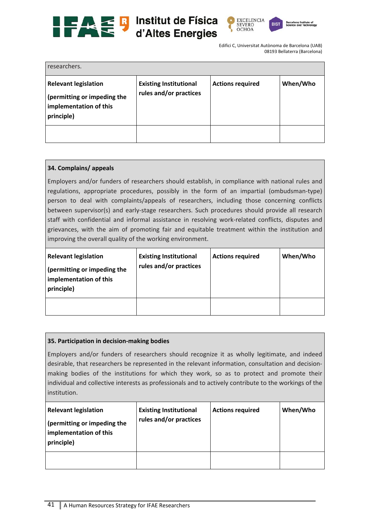





| researchers.                                                                                       |                                                         |                         |          |
|----------------------------------------------------------------------------------------------------|---------------------------------------------------------|-------------------------|----------|
| <b>Relevant legislation</b><br>(permitting or impeding the<br>implementation of this<br>principle) | <b>Existing Institutional</b><br>rules and/or practices | <b>Actions required</b> | When/Who |
|                                                                                                    |                                                         |                         |          |

# **34. Complains/ appeals**

Employers and/or funders of researchers should establish, in compliance with national rules and regulations, appropriate procedures, possibly in the form of an impartial (ombudsman-type) person to deal with complaints/appeals of researchers, including those concerning conflicts between supervisor(s) and early-stage researchers. Such procedures should provide all research staff with confidential and informal assistance in resolving work-related conflicts, disputes and grievances, with the aim of promoting fair and equitable treatment within the institution and improving the overall quality of the working environment.

| <b>Relevant legislation</b><br>(permitting or impeding the<br>implementation of this<br>principle) | <b>Existing Institutional</b><br>rules and/or practices | <b>Actions required</b> | When/Who |
|----------------------------------------------------------------------------------------------------|---------------------------------------------------------|-------------------------|----------|
|                                                                                                    |                                                         |                         |          |

#### **35. Participation in decision‐making bodies**

Employers and/or funders of researchers should recognize it as wholly legitimate, and indeed desirable, that researchers be represented in the relevant information, consultation and decision‐ making bodies of the institutions for which they work, so as to protect and promote their individual and collective interests as professionals and to actively contribute to the workings of the institution.

| <b>Relevant legislation</b><br>(permitting or impeding the<br>implementation of this<br>principle) | <b>Existing Institutional</b><br>rules and/or practices | <b>Actions required</b> | When/Who |
|----------------------------------------------------------------------------------------------------|---------------------------------------------------------|-------------------------|----------|
|                                                                                                    |                                                         |                         |          |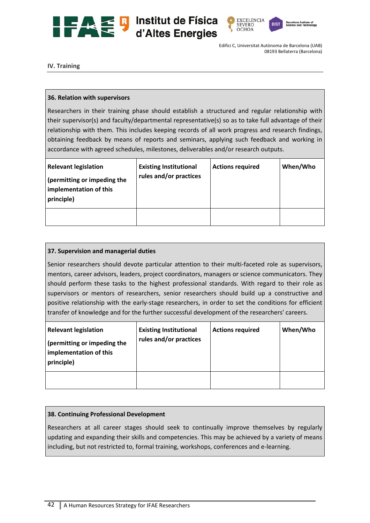





**IV. Training** 

# **36. Relation with supervisors**

Researchers in their training phase should establish a structured and regular relationship with their supervisor(s) and faculty/departmental representative(s) so as to take full advantage of their relationship with them. This includes keeping records of all work progress and research findings, obtaining feedback by means of reports and seminars, applying such feedback and working in accordance with agreed schedules, milestones, deliverables and/or research outputs.

| <b>Relevant legislation</b><br>(permitting or impeding the<br>implementation of this<br>principle) | <b>Existing Institutional</b><br>rules and/or practices | <b>Actions required</b> | When/Who |
|----------------------------------------------------------------------------------------------------|---------------------------------------------------------|-------------------------|----------|
|                                                                                                    |                                                         |                         |          |

# **37. Supervision and managerial duties**

Senior researchers should devote particular attention to their multi-faceted role as supervisors, mentors, career advisors, leaders, project coordinators, managers or science communicators. They should perform these tasks to the highest professional standards. With regard to their role as supervisors or mentors of researchers, senior researchers should build up a constructive and positive relationship with the early-stage researchers, in order to set the conditions for efficient transfer of knowledge and for the further successful development of the researchers' careers.

| <b>Relevant legislation</b><br>(permitting or impeding the<br>implementation of this<br>principle) | <b>Existing Institutional</b><br>rules and/or practices | <b>Actions required</b> | When/Who |
|----------------------------------------------------------------------------------------------------|---------------------------------------------------------|-------------------------|----------|
|                                                                                                    |                                                         |                         |          |

# **38. Continuing Professional Development**

Researchers at all career stages should seek to continually improve themselves by regularly updating and expanding their skills and competencies. This may be achieved by a variety of means including, but not restricted to, formal training, workshops, conferences and e‐learning.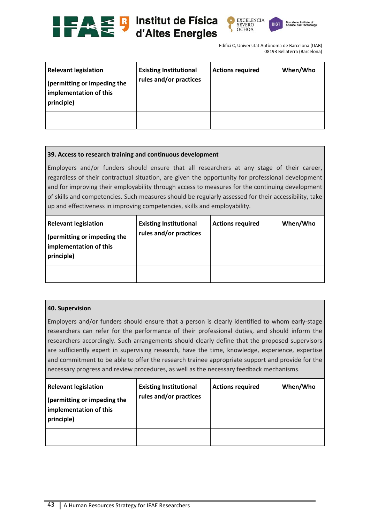





| <b>Relevant legislation</b><br>(permitting or impeding the<br>implementation of this<br>principle) | <b>Existing Institutional</b><br>rules and/or practices | <b>Actions required</b> | When/Who |
|----------------------------------------------------------------------------------------------------|---------------------------------------------------------|-------------------------|----------|
|                                                                                                    |                                                         |                         |          |

# **39. Access to research training and continuous development**

Employers and/or funders should ensure that all researchers at any stage of their career, regardless of their contractual situation, are given the opportunity for professional development and for improving their employability through access to measures for the continuing development of skills and competencies. Such measures should be regularly assessed for their accessibility, take up and effectiveness in improving competencies, skills and employability.

| <b>Relevant legislation</b><br>(permitting or impeding the<br>implementation of this<br>principle) | <b>Existing Institutional</b><br>rules and/or practices | <b>Actions required</b> | When/Who |
|----------------------------------------------------------------------------------------------------|---------------------------------------------------------|-------------------------|----------|
|                                                                                                    |                                                         |                         |          |

# **40. Supervision**

Employers and/or funders should ensure that a person is clearly identified to whom early-stage researchers can refer for the performance of their professional duties, and should inform the researchers accordingly. Such arrangements should clearly define that the proposed supervisors are sufficiently expert in supervising research, have the time, knowledge, experience, expertise and commitment to be able to offer the research trainee appropriate support and provide for the necessary progress and review procedures, as well as the necessary feedback mechanisms.

| <b>Relevant legislation</b><br>(permitting or impeding the<br>implementation of this<br>principle) | <b>Existing Institutional</b><br>rules and/or practices | <b>Actions required</b> | When/Who |
|----------------------------------------------------------------------------------------------------|---------------------------------------------------------|-------------------------|----------|
|                                                                                                    |                                                         |                         |          |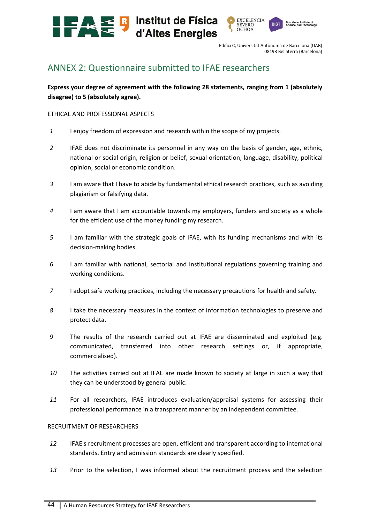



# ANNEX 2: Questionnaire submitted to IFAE researchers

**Express your degree of agreement with the following 28 statements, ranging from 1 (absolutely disagree) to 5 (absolutely agree).** 

## ETHICAL AND PROFESSIONAL ASPECTS

- *1*  I enjoy freedom of expression and research within the scope of my projects.
- *2*  IFAE does not discriminate its personnel in any way on the basis of gender, age, ethnic, national or social origin, religion or belief, sexual orientation, language, disability, political opinion, social or economic condition.
- *3*  I am aware that I have to abide by fundamental ethical research practices, such as avoiding plagiarism or falsifying data.
- *4*  I am aware that I am accountable towards my employers, funders and society as a whole for the efficient use of the money funding my research.
- *5*  I am familiar with the strategic goals of IFAE, with its funding mechanisms and with its decision‐making bodies.
- *6*  I am familiar with national, sectorial and institutional regulations governing training and working conditions.
- *7*  I adopt safe working practices, including the necessary precautions for health and safety.
- *8*  I take the necessary measures in the context of information technologies to preserve and protect data.
- *9*  The results of the research carried out at IFAE are disseminated and exploited (e.g. communicated, transferred into other research settings or, if appropriate, commercialised).
- 10 The activities carried out at IFAE are made known to society at large in such a way that they can be understood by general public.
- 11 **For all researchers, IFAE introduces evaluation/appraisal systems for assessing their** professional performance in a transparent manner by an independent committee.

#### RECRUITMENT OF RESEARCHERS

- *12*  IFAE's recruitment processes are open, efficient and transparent according to international standards. Entry and admission standards are clearly specified.
- 13 Prior to the selection, I was informed about the recruitment process and the selection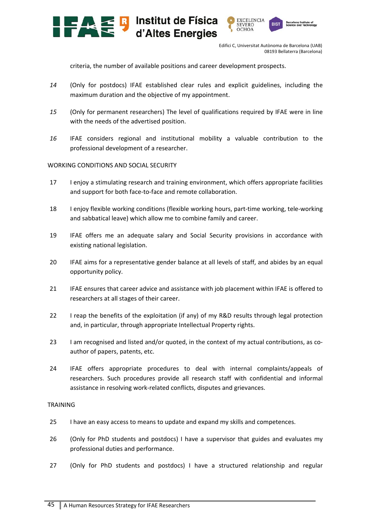



criteria, the number of available positions and career development prospects.

- *14*  (Only for postdocs) IFAE established clear rules and explicit guidelines, including the maximum duration and the objective of my appointment.
- *15*  (Only for permanent researchers) The level of qualifications required by IFAE were in line with the needs of the advertised position.
- *16*  IFAE considers regional and institutional mobility a valuable contribution to the professional development of a researcher.

# WORKING CONDITIONS AND SOCIAL SECURITY

- 17 I enjoy a stimulating research and training environment, which offers appropriate facilities and support for both face-to-face and remote collaboration.
- 18 I enjoy flexible working conditions (flexible working hours, part‐time working, tele‐working and sabbatical leave) which allow me to combine family and career.
- 19 IFAE offers me an adequate salary and Social Security provisions in accordance with existing national legislation.
- 20 IFAE aims for a representative gender balance at all levels of staff, and abides by an equal opportunity policy.
- 21 IFAE ensures that career advice and assistance with job placement within IFAE is offered to researchers at all stages of their career.
- 22 I reap the benefits of the exploitation (if any) of my R&D results through legal protection and, in particular, through appropriate Intellectual Property rights.
- 23 I am recognised and listed and/or quoted, in the context of my actual contributions, as coauthor of papers, patents, etc.
- 24 IFAE offers appropriate procedures to deal with internal complaints/appeals of researchers. Such procedures provide all research staff with confidential and informal assistance in resolving work‐related conflicts, disputes and grievances.

# TRAINING

- 25 I have an easy access to means to update and expand my skills and competences.
- 26 (Only for PhD students and postdocs) I have a supervisor that guides and evaluates my professional duties and performance.
- 27 (Only for PhD students and postdocs) I have a structured relationship and regular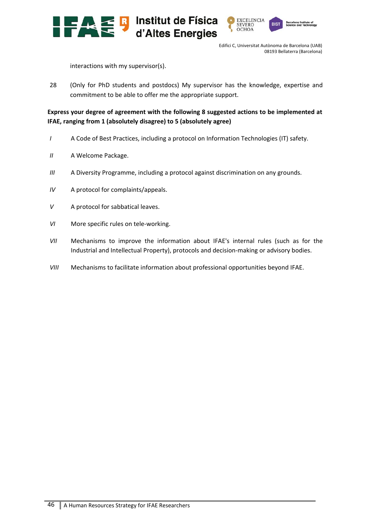



interactions with my supervisor(s).

28 (Only for PhD students and postdocs) My supervisor has the knowledge, expertise and commitment to be able to offer me the appropriate support.

# **Express your degree of agreement with the following 8 suggested actions to be implemented at IFAE, ranging from 1 (absolutely disagree) to 5 (absolutely agree)**

- *I*  A Code of Best Practices, including a protocol on Information Technologies (IT) safety.
- *II*  A Welcome Package.
- *III*  A Diversity Programme, including a protocol against discrimination on any grounds.
- *IV*  A protocol for complaints/appeals.
- *V*  A protocol for sabbatical leaves.
- *VI* More specific rules on tele-working.
- *VII* Mechanisms to improve the information about IFAE's internal rules (such as for the Industrial and Intellectual Property), protocols and decision-making or advisory bodies.
- *VIII*  Mechanisms to facilitate information about professional opportunities beyond IFAE.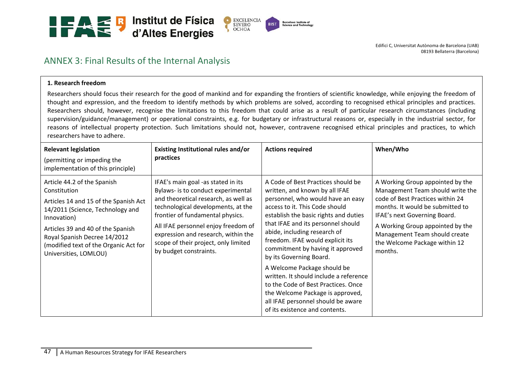

# ANNEX 3: Final Results of the Internal Analysis

#### **1. Research freedom**

Researchers should focus their research for the good of mankind and for expanding the frontiers of scientific knowledge, while enjoying the freedom of thought and expression, and the freedom to identify methods by which problems are solved, according to recognised ethical principles and practices. Researchers should, however, recognise the limitations to this freedom that could arise as a result of particular research circumstances (including supervision/guidance/management) or operational constraints, e.g. for budgetary or infrastructural reasons or, especially in the industrial sector, for reasons of intellectual property protection. Such limitations should not, however, contravene recognised ethical principles and practices, to which researchers have to adhere.

| <b>Relevant legislation</b><br>(permitting or impeding the<br>implementation of this principle)                                                                                                                                                                                | Existing Institutional rules and/or<br>practices                                                                                                                                                                                                                                                                                           | <b>Actions required</b>                                                                                                                                                                                                                                                                                                                                                                                                                                                                                                                                                                   | When/Who                                                                                                                                                                                                                                                                                      |
|--------------------------------------------------------------------------------------------------------------------------------------------------------------------------------------------------------------------------------------------------------------------------------|--------------------------------------------------------------------------------------------------------------------------------------------------------------------------------------------------------------------------------------------------------------------------------------------------------------------------------------------|-------------------------------------------------------------------------------------------------------------------------------------------------------------------------------------------------------------------------------------------------------------------------------------------------------------------------------------------------------------------------------------------------------------------------------------------------------------------------------------------------------------------------------------------------------------------------------------------|-----------------------------------------------------------------------------------------------------------------------------------------------------------------------------------------------------------------------------------------------------------------------------------------------|
| Article 44.2 of the Spanish<br>Constitution<br>Articles 14 and 15 of the Spanish Act<br>14/2011 (Science, Technology and<br>Innovation)<br>Articles 39 and 40 of the Spanish<br>Royal Spanish Decree 14/2012<br>(modified text of the Organic Act for<br>Universities, LOMLOU) | IFAE's main goal -as stated in its<br>Bylaws- is to conduct experimental<br>and theoretical research, as well as<br>technological developments, at the<br>frontier of fundamental physics.<br>All IFAE personnel enjoy freedom of<br>expression and research, within the<br>scope of their project, only limited<br>by budget constraints. | A Code of Best Practices should be<br>written, and known by all IFAE<br>personnel, who would have an easy<br>access to it. This Code should<br>establish the basic rights and duties<br>that IFAE and its personnel should<br>abide, including research of<br>freedom. IFAE would explicit its<br>commitment by having it approved<br>by its Governing Board.<br>A Welcome Package should be<br>written. It should include a reference<br>to the Code of Best Practices. Once<br>the Welcome Package is approved,<br>all IFAE personnel should be aware<br>of its existence and contents. | A Working Group appointed by the<br>Management Team should write the<br>code of Best Practices within 24<br>months. It would be submitted to<br>IFAE's next Governing Board.<br>A Working Group appointed by the<br>Management Team should create<br>the Welcome Package within 12<br>months. |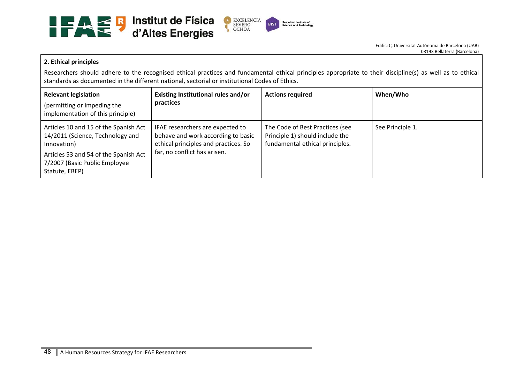

#### **2. Ethical principles**

Researchers should adhere to the recognised ethical practices and fundamental ethical principles appropriate to their discipline(s) as well as to ethical standards as documented in the different national, sectorial or institutional Codes of Ethics.

| <b>Relevant legislation</b><br>(permitting or impeding the<br>implementation of this principle)                                                                                      | Existing Institutional rules and/or<br>practices                                                                                               | <b>Actions required</b>                                                                               | When/Who         |
|--------------------------------------------------------------------------------------------------------------------------------------------------------------------------------------|------------------------------------------------------------------------------------------------------------------------------------------------|-------------------------------------------------------------------------------------------------------|------------------|
| Articles 10 and 15 of the Spanish Act<br>14/2011 (Science, Technology and<br>Innovation)<br>Articles 53 and 54 of the Spanish Act<br>7/2007 (Basic Public Employee<br>Statute, EBEP) | IFAE researchers are expected to<br>behave and work according to basic<br>ethical principles and practices. So<br>far, no conflict has arisen. | The Code of Best Practices (see<br>Principle 1) should include the<br>fundamental ethical principles. | See Principle 1. |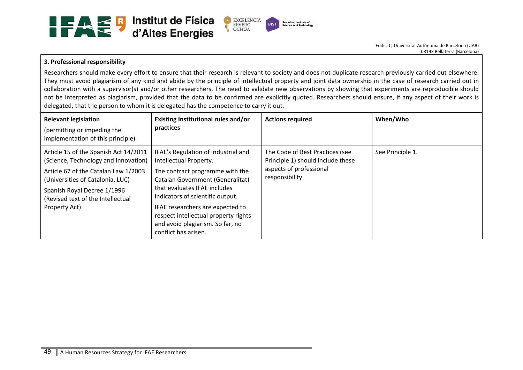

# **3. Professional responsibility**

Researchers should make every effort to ensure that their research is relevant to society and does not duplicate research previously carried out elsewhere. They must avoid plagiarism of any kind and abide by the principle of intellectual property and joint data ownership in the case of research carried out in collaboration with a supervisor(s) and/or other researchers. The need to validate new observations by showing that experiments are reproducible should not be interpreted as plagiarism, provided that the data to be confirmed are explicitly quoted. Researchers should ensure, if any aspect of their work is delegated, that the person to whom it is delegated has the competence to carry it out.

| <b>Relevant legislation</b><br>(permitting or impeding the<br>implementation of this principle)                                                                                                                                                | Existing Institutional rules and/or<br>practices                                                                                                                                                                                                                                                                                                        | <b>Actions required</b>                                                                                            | When/Who         |
|------------------------------------------------------------------------------------------------------------------------------------------------------------------------------------------------------------------------------------------------|---------------------------------------------------------------------------------------------------------------------------------------------------------------------------------------------------------------------------------------------------------------------------------------------------------------------------------------------------------|--------------------------------------------------------------------------------------------------------------------|------------------|
| Article 15 of the Spanish Act 14/2011<br>(Science, Technology and Innovation)<br>Article 67 of the Catalan Law 1/2003<br>(Universities of Catalonia, LUC)<br>Spanish Royal Decree 1/1996<br>(Revised text of the Intellectual<br>Property Act) | IFAE's Regulation of Industrial and<br>Intellectual Property.<br>The contract programme with the<br><b>Catalan Government (Generalitat)</b><br>that evaluates IFAE includes<br>indicators of scientific output.<br>IFAE researchers are expected to<br>respect intellectual property rights<br>and avoid plagiarism. So far, no<br>conflict has arisen. | The Code of Best Practices (see<br>Principle 1) should include these<br>aspects of professional<br>responsibility. | See Principle 1. |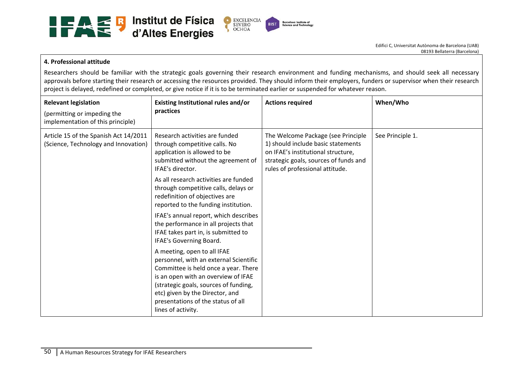

#### **4. Professional attitude**

Researchers should be familiar with the strategic goals governing their research environment and funding mechanisms, and should seek all necessary approvals before starting their research or accessing the resources provided. They should inform their employers, funders or supervisor when their research project is delayed, redefined or completed, or give notice if it is to be terminated earlier or suspended for whatever reason.

| <b>Relevant legislation</b><br>(permitting or impeding the<br>implementation of this principle) | Existing Institutional rules and/or<br>practices                                                                                                                                                                                                                                             | <b>Actions required</b>                                                                                                                                                                    | When/Who         |
|-------------------------------------------------------------------------------------------------|----------------------------------------------------------------------------------------------------------------------------------------------------------------------------------------------------------------------------------------------------------------------------------------------|--------------------------------------------------------------------------------------------------------------------------------------------------------------------------------------------|------------------|
| Article 15 of the Spanish Act 14/2011<br>(Science, Technology and Innovation)                   | Research activities are funded<br>through competitive calls. No<br>application is allowed to be<br>submitted without the agreement of<br>IFAE's director.                                                                                                                                    | The Welcome Package (see Principle<br>1) should include basic statements<br>on IFAE's institutional structure,<br>strategic goals, sources of funds and<br>rules of professional attitude. | See Principle 1. |
|                                                                                                 | As all research activities are funded<br>through competitive calls, delays or<br>redefinition of objectives are<br>reported to the funding institution.                                                                                                                                      |                                                                                                                                                                                            |                  |
|                                                                                                 | IFAE's annual report, which describes<br>the performance in all projects that<br>IFAE takes part in, is submitted to<br>IFAE's Governing Board.                                                                                                                                              |                                                                                                                                                                                            |                  |
|                                                                                                 | A meeting, open to all IFAE<br>personnel, with an external Scientific<br>Committee is held once a year. There<br>is an open with an overview of IFAE<br>(strategic goals, sources of funding,<br>etc) given by the Director, and<br>presentations of the status of all<br>lines of activity. |                                                                                                                                                                                            |                  |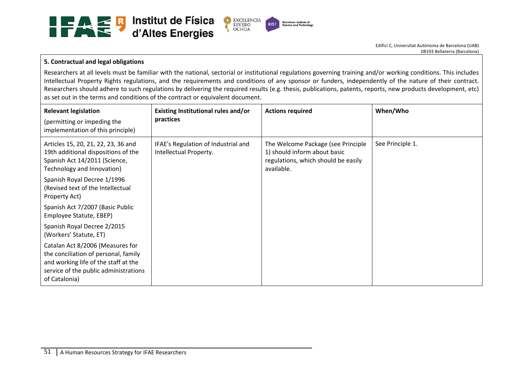

# **5. Contractual and legal obligations**

Researchers at all levels must be familiar with the national, sectorial or institutional regulations governing training and/or working conditions. This includes Intellectual Property Rights regulations, and the requirements and conditions of any sponsor or funders, independently of the nature of their contract. Researchers should adhere to such regulations by delivering the required results (e.g. thesis, publications, patents, reports, new products development, etc) as set out in the terms and conditions of the contract or equivalent document.

| <b>Relevant legislation</b><br>(permitting or impeding the<br>implementation of this principle)                                                                            | Existing Institutional rules and/or<br>practices              | <b>Actions required</b>                                                                                                 | When/Who         |
|----------------------------------------------------------------------------------------------------------------------------------------------------------------------------|---------------------------------------------------------------|-------------------------------------------------------------------------------------------------------------------------|------------------|
| Articles 15, 20, 21, 22, 23, 36 and<br>19th additional dispositions of the<br>Spanish Act 14/2011 (Science,<br>Technology and Innovation)                                  | IFAE's Regulation of Industrial and<br>Intellectual Property. | The Welcome Package (see Principle<br>1) should inform about basic<br>regulations, which should be easily<br>available. | See Principle 1. |
| Spanish Royal Decree 1/1996<br>(Revised text of the Intellectual<br>Property Act)                                                                                          |                                                               |                                                                                                                         |                  |
| Spanish Act 7/2007 (Basic Public<br>Employee Statute, EBEP)                                                                                                                |                                                               |                                                                                                                         |                  |
| Spanish Royal Decree 2/2015<br>(Workers' Statute, ET)                                                                                                                      |                                                               |                                                                                                                         |                  |
| Catalan Act 8/2006 (Measures for<br>the conciliation of personal, family<br>and working life of the staff at the<br>service of the public administrations<br>of Catalonia) |                                                               |                                                                                                                         |                  |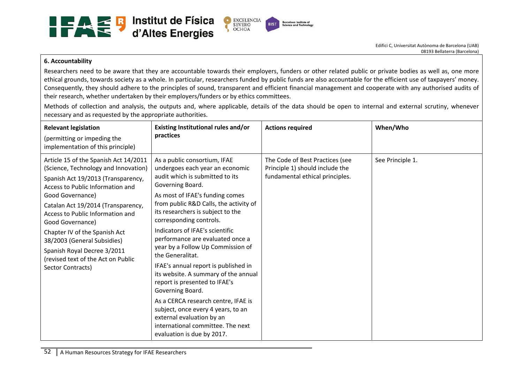

#### **6. Accountability**

Researchers need to be aware that they are accountable towards their employers, funders or other related public or private bodies as well as, one more ethical grounds, towards society as a whole. In particular, researchers funded by public funds are also accountable for the efficient use of taxpayers' money. Consequently, they should adhere to the principles of sound, transparent and efficient financial management and cooperate with any authorised audits of their research, whether undertaken by their employers/funders or by ethics committees.

Methods of collection and analysis, the outputs and, where applicable, details of the data should be open to internal and external scrutiny, whenever necessary and as requested by the appropriate authorities.

| <b>Relevant legislation</b><br>(permitting or impeding the<br>implementation of this principle)                                                                                                                                                                                                                                                                                                                                     | Existing Institutional rules and/or<br>practices                                                                                                                                                                                                                                                                                                                                                                                                                                                                                                                                                                                                                                                                      | <b>Actions required</b>                                                                               | When/Who         |
|-------------------------------------------------------------------------------------------------------------------------------------------------------------------------------------------------------------------------------------------------------------------------------------------------------------------------------------------------------------------------------------------------------------------------------------|-----------------------------------------------------------------------------------------------------------------------------------------------------------------------------------------------------------------------------------------------------------------------------------------------------------------------------------------------------------------------------------------------------------------------------------------------------------------------------------------------------------------------------------------------------------------------------------------------------------------------------------------------------------------------------------------------------------------------|-------------------------------------------------------------------------------------------------------|------------------|
| Article 15 of the Spanish Act 14/2011<br>(Science, Technology and Innovation)<br>Spanish Act 19/2013 (Transparency,<br>Access to Public Information and<br>Good Governance)<br>Catalan Act 19/2014 (Transparency,<br>Access to Public Information and<br>Good Governance)<br>Chapter IV of the Spanish Act<br>38/2003 (General Subsidies)<br>Spanish Royal Decree 3/2011<br>(revised text of the Act on Public<br>Sector Contracts) | As a public consortium, IFAE<br>undergoes each year an economic<br>audit which is submitted to its<br>Governing Board.<br>As most of IFAE's funding comes<br>from public R&D Calls, the activity of<br>its researchers is subject to the<br>corresponding controls.<br>Indicators of IFAE's scientific<br>performance are evaluated once a<br>year by a Follow Up Commission of<br>the Generalitat.<br>IFAE's annual report is published in<br>its website. A summary of the annual<br>report is presented to IFAE's<br>Governing Board.<br>As a CERCA research centre, IFAE is<br>subject, once every 4 years, to an<br>external evaluation by an<br>international committee. The next<br>evaluation is due by 2017. | The Code of Best Practices (see<br>Principle 1) should include the<br>fundamental ethical principles. | See Principle 1. |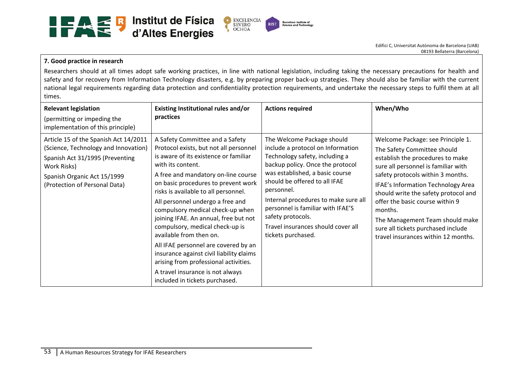

#### **7. Good practice in research**

Researchers should at all times adopt safe working practices, in line with national legislation, including taking the necessary precautions for health and safety and for recovery from Information Technology disasters, e.g. by preparing proper back-up strategies. They should also be familiar with the current national legal requirements regarding data protection and confidentiality protection requirements, and undertake the necessary steps to fulfil them at all times.

| <b>Relevant legislation</b><br>(permitting or impeding the<br>implementation of this principle)                                                                                                 | Existing Institutional rules and/or<br>practices                                                                                                                                                                                                                                                                                                                                                                                                                                                                                                                                                                                                | <b>Actions required</b>                                                                                                                                                                                                                                                                                                                                                               | When/Who                                                                                                                                                                                                                                                                                                                                                                                                                     |
|-------------------------------------------------------------------------------------------------------------------------------------------------------------------------------------------------|-------------------------------------------------------------------------------------------------------------------------------------------------------------------------------------------------------------------------------------------------------------------------------------------------------------------------------------------------------------------------------------------------------------------------------------------------------------------------------------------------------------------------------------------------------------------------------------------------------------------------------------------------|---------------------------------------------------------------------------------------------------------------------------------------------------------------------------------------------------------------------------------------------------------------------------------------------------------------------------------------------------------------------------------------|------------------------------------------------------------------------------------------------------------------------------------------------------------------------------------------------------------------------------------------------------------------------------------------------------------------------------------------------------------------------------------------------------------------------------|
| Article 15 of the Spanish Act 14/2011<br>(Science, Technology and Innovation)<br>Spanish Act 31/1995 (Preventing<br>Work Risks)<br>Spanish Organic Act 15/1999<br>(Protection of Personal Data) | A Safety Committee and a Safety<br>Protocol exists, but not all personnel<br>is aware of its existence or familiar<br>with its content.<br>A free and mandatory on-line course<br>on basic procedures to prevent work<br>risks is available to all personnel.<br>All personnel undergo a free and<br>compulsory medical check-up when<br>joining IFAE. An annual, free but not<br>compulsory, medical check-up is<br>available from then on.<br>All IFAE personnel are covered by an<br>insurance against civil liability claims<br>arising from professional activities.<br>A travel insurance is not always<br>included in tickets purchased. | The Welcome Package should<br>include a protocol on Information<br>Technology safety, including a<br>backup policy. Once the protocol<br>was established, a basic course<br>should be offered to all IFAE<br>personnel.<br>Internal procedures to make sure all<br>personnel is familiar with IFAE'S<br>safety protocols.<br>Travel insurances should cover all<br>tickets purchased. | Welcome Package: see Principle 1.<br>The Safety Committee should<br>establish the procedures to make<br>sure all personnel is familiar with<br>safety protocols within 3 months.<br>IFAE's Information Technology Area<br>should write the safety protocol and<br>offer the basic course within 9<br>months.<br>The Management Team should make<br>sure all tickets purchased include<br>travel insurances within 12 months. |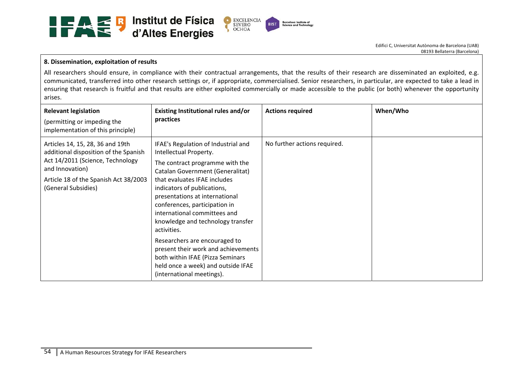

#### **8. Dissemination, exploitation of results**

All researchers should ensure, in compliance with their contractual arrangements, that the results of their research are disseminated an exploited, e.g. communicated, transferred into other research settings or, if appropriate, commercialised. Senior researchers, in particular, are expected to take a lead in ensuring that research is fruitful and that results are either exploited commercially or made accessible to the public (or both) whenever the opportunity arises.

| <b>Relevant legislation</b><br>(permitting or impeding the<br>implementation of this principle)                                                                                                  | Existing Institutional rules and/or<br>practices                                                                                                                                                                                                                                                                                                                                                                                                                                                                                          | <b>Actions required</b>      | When/Who |
|--------------------------------------------------------------------------------------------------------------------------------------------------------------------------------------------------|-------------------------------------------------------------------------------------------------------------------------------------------------------------------------------------------------------------------------------------------------------------------------------------------------------------------------------------------------------------------------------------------------------------------------------------------------------------------------------------------------------------------------------------------|------------------------------|----------|
| Articles 14, 15, 28, 36 and 19th<br>additional disposition of the Spanish<br>Act 14/2011 (Science, Technology<br>and Innovation)<br>Article 18 of the Spanish Act 38/2003<br>(General Subsidies) | IFAE's Regulation of Industrial and<br>Intellectual Property.<br>The contract programme with the<br>Catalan Government (Generalitat)<br>that evaluates IFAE includes<br>indicators of publications,<br>presentations at international<br>conferences, participation in<br>international committees and<br>knowledge and technology transfer<br>activities.<br>Researchers are encouraged to<br>present their work and achievements<br>both within IFAE (Pizza Seminars<br>held once a week) and outside IFAE<br>(international meetings). | No further actions required. |          |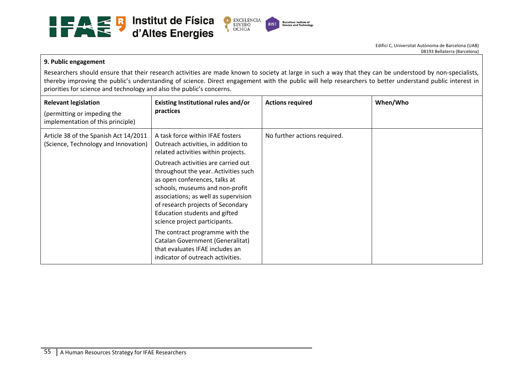

#### **9. Public engagement**

Researchers should ensure that their research activities are made known to society at large in such a way that they can be understood by non-specialists, thereby improving the public's understanding of science. Direct engagement with the public will help researchers to better understand public interest in priorities for science and technology and also the public's concerns.

| <b>Relevant legislation</b><br>(permitting or impeding the<br>implementation of this principle) | Existing Institutional rules and/or<br>practices                                                                                                                                                                                                                                               | <b>Actions required</b>      | When/Who |
|-------------------------------------------------------------------------------------------------|------------------------------------------------------------------------------------------------------------------------------------------------------------------------------------------------------------------------------------------------------------------------------------------------|------------------------------|----------|
| Article 38 of the Spanish Act 14/2011<br>(Science, Technology and Innovation)                   | A task force within IFAE fosters<br>Outreach activities, in addition to<br>related activities within projects.                                                                                                                                                                                 | No further actions required. |          |
|                                                                                                 | Outreach activities are carried out<br>throughout the year. Activities such<br>as open conferences, talks at<br>schools, museums and non-profit<br>associations; as well as supervision<br>of research projects of Secondary<br>Education students and gifted<br>science project participants. |                              |          |
|                                                                                                 | The contract programme with the<br>Catalan Government (Generalitat)<br>that evaluates IFAE includes an<br>indicator of outreach activities.                                                                                                                                                    |                              |          |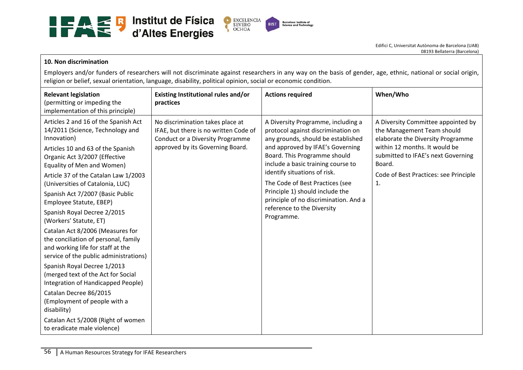

#### **10. Non discrimination**

Employers and/or funders of researchers will not discriminate against researchers in any way on the basis of gender, age, ethnic, national or social origin, religion or belief, sexual orientation, language, disability, political opinion, social or economic condition.

| <b>Relevant legislation</b><br>(permitting or impeding the<br>implementation of this principle)                                                                                                                                                                                                                                                                                                                                                                                                                                                                                                                                                                                                                                                                                                                     | Existing Institutional rules and/or<br>practices                                                                                                         | <b>Actions required</b>                                                                                                                                                                                                                                                                                                                                                                                             | When/Who                                                                                                                                                                                                                              |
|---------------------------------------------------------------------------------------------------------------------------------------------------------------------------------------------------------------------------------------------------------------------------------------------------------------------------------------------------------------------------------------------------------------------------------------------------------------------------------------------------------------------------------------------------------------------------------------------------------------------------------------------------------------------------------------------------------------------------------------------------------------------------------------------------------------------|----------------------------------------------------------------------------------------------------------------------------------------------------------|---------------------------------------------------------------------------------------------------------------------------------------------------------------------------------------------------------------------------------------------------------------------------------------------------------------------------------------------------------------------------------------------------------------------|---------------------------------------------------------------------------------------------------------------------------------------------------------------------------------------------------------------------------------------|
| Articles 2 and 16 of the Spanish Act<br>14/2011 (Science, Technology and<br>Innovation)<br>Articles 10 and 63 of the Spanish<br>Organic Act 3/2007 (Effective<br>Equality of Men and Women)<br>Article 37 of the Catalan Law 1/2003<br>(Universities of Catalonia, LUC)<br>Spanish Act 7/2007 (Basic Public<br>Employee Statute, EBEP)<br>Spanish Royal Decree 2/2015<br>(Workers' Statute, ET)<br>Catalan Act 8/2006 (Measures for<br>the conciliation of personal, family<br>and working life for staff at the<br>service of the public administrations)<br>Spanish Royal Decree 1/2013<br>(merged text of the Act for Social<br>Integration of Handicapped People)<br>Catalan Decree 86/2015<br>(Employment of people with a<br>disability)<br>Catalan Act 5/2008 (Right of women<br>to eradicate male violence) | No discrimination takes place at<br>IFAE, but there is no written Code of<br><b>Conduct or a Diversity Programme</b><br>approved by its Governing Board. | A Diversity Programme, including a<br>protocol against discrimination on<br>any grounds, should be established<br>and approved by IFAE's Governing<br>Board. This Programme should<br>include a basic training course to<br>identify situations of risk.<br>The Code of Best Practices (see<br>Principle 1) should include the<br>principle of no discrimination. And a<br>reference to the Diversity<br>Programme. | A Diversity Committee appointed by<br>the Management Team should<br>elaborate the Diversity Programme<br>within 12 months. It would be<br>submitted to IFAE's next Governing<br>Board.<br>Code of Best Practices: see Principle<br>1. |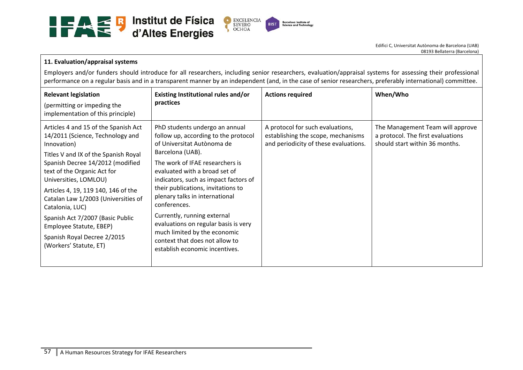

# **11. Evaluation/appraisal systems**

Employers and/or funders should introduce for all researchers, including senior researchers, evaluation/appraisal systems for assessing their professional performance on a regular basis and in a transparent manner by an independent (and, in the case of senior researchers, preferably international) committee.

| <b>Relevant legislation</b><br>(permitting or impeding the<br>implementation of this principle)                                                                                                                                                                                                                                                                                                                                                      | Existing Institutional rules and/or<br>practices                                                                                                                                                                                                                                                                                                                                                                                                                                                         | <b>Actions required</b>                                                                                         | When/Who                                                                                                |
|------------------------------------------------------------------------------------------------------------------------------------------------------------------------------------------------------------------------------------------------------------------------------------------------------------------------------------------------------------------------------------------------------------------------------------------------------|----------------------------------------------------------------------------------------------------------------------------------------------------------------------------------------------------------------------------------------------------------------------------------------------------------------------------------------------------------------------------------------------------------------------------------------------------------------------------------------------------------|-----------------------------------------------------------------------------------------------------------------|---------------------------------------------------------------------------------------------------------|
| Articles 4 and 15 of the Spanish Act<br>14/2011 (Science, Technology and<br>Innovation)<br>Titles V and IX of the Spanish Royal<br>Spanish Decree 14/2012 (modified<br>text of the Organic Act for<br>Universities, LOMLOU)<br>Articles 4, 19, 119 140, 146 of the<br>Catalan Law 1/2003 (Universities of<br>Catalonia, LUC)<br>Spanish Act 7/2007 (Basic Public<br>Employee Statute, EBEP)<br>Spanish Royal Decree 2/2015<br>(Workers' Statute, ET) | PhD students undergo an annual<br>follow up, according to the protocol<br>of Universitat Autònoma de<br>Barcelona (UAB).<br>The work of IFAE researchers is<br>evaluated with a broad set of<br>indicators, such as impact factors of<br>their publications, invitations to<br>plenary talks in international<br>conferences.<br>Currently, running external<br>evaluations on regular basis is very<br>much limited by the economic<br>context that does not allow to<br>establish economic incentives. | A protocol for such evaluations,<br>establishing the scope, mechanisms<br>and periodicity of these evaluations. | The Management Team will approve<br>a protocol. The first evaluations<br>should start within 36 months. |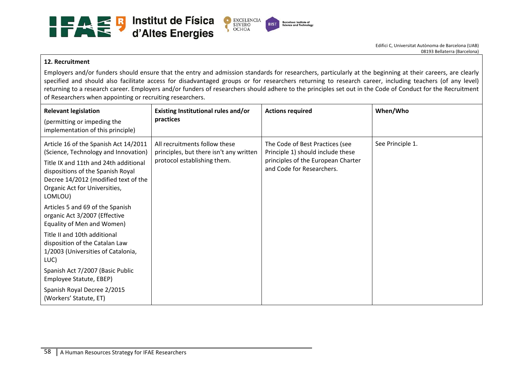

#### **12. Recruitment**

Employers and/or funders should ensure that the entry and admission standards for researchers, particularly at the beginning at their careers, are clearly specified and should also facilitate access for disadvantaged groups or for researchers returning to research career, including teachers (of any level) returning to a research career. Employers and/or funders of researchers should adhere to the principles set out in the Code of Conduct for the Recruitment of Researchers when appointing or recruiting researchers.

| <b>Relevant legislation</b><br>(permitting or impeding the<br>implementation of this principle)                                                                                                                                                 | Existing Institutional rules and/or<br>practices                                                        | <b>Actions required</b>                                                                                                                 | When/Who         |
|-------------------------------------------------------------------------------------------------------------------------------------------------------------------------------------------------------------------------------------------------|---------------------------------------------------------------------------------------------------------|-----------------------------------------------------------------------------------------------------------------------------------------|------------------|
| Article 16 of the Spanish Act 14/2011<br>(Science, Technology and Innovation)<br>Title IX and 11th and 24th additional<br>dispositions of the Spanish Royal<br>Decree 14/2012 (modified text of the<br>Organic Act for Universities,<br>LOMLOU) | All recruitments follow these<br>principles, but there isn't any written<br>protocol establishing them. | The Code of Best Practices (see<br>Principle 1) should include these<br>principles of the European Charter<br>and Code for Researchers. | See Principle 1. |
| Articles 5 and 69 of the Spanish<br>organic Act 3/2007 (Effective<br>Equality of Men and Women)                                                                                                                                                 |                                                                                                         |                                                                                                                                         |                  |
| Title II and 10th additional<br>disposition of the Catalan Law<br>1/2003 (Universities of Catalonia,<br>LUC)                                                                                                                                    |                                                                                                         |                                                                                                                                         |                  |
| Spanish Act 7/2007 (Basic Public<br>Employee Statute, EBEP)                                                                                                                                                                                     |                                                                                                         |                                                                                                                                         |                  |
| Spanish Royal Decree 2/2015<br>(Workers' Statute, ET)                                                                                                                                                                                           |                                                                                                         |                                                                                                                                         |                  |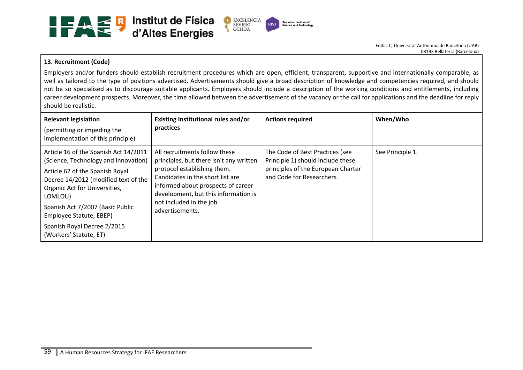

# **13. Recruitment (Code)**

Employers and/or funders should establish recruitment procedures which are open, efficient, transparent, supportive and internationally comparable, as well as tailored to the type of positions advertised. Advertisements should give a broad description of knowledge and competencies required, and should not be so specialised as to discourage suitable applicants. Employers should include a description of the working conditions and entitlements, including career development prospects. Moreover, the time allowed between the advertisement of the vacancy or the call for applications and the deadline for reply should be realistic.

| <b>Relevant legislation</b><br>(permitting or impeding the<br>implementation of this principle)                                                                                                                                                                                                                              | Existing Institutional rules and/or<br>practices                                                                                                                                                                                                                        | <b>Actions required</b>                                                                                                                 | When/Who         |
|------------------------------------------------------------------------------------------------------------------------------------------------------------------------------------------------------------------------------------------------------------------------------------------------------------------------------|-------------------------------------------------------------------------------------------------------------------------------------------------------------------------------------------------------------------------------------------------------------------------|-----------------------------------------------------------------------------------------------------------------------------------------|------------------|
| Article 16 of the Spanish Act 14/2011<br>(Science, Technology and Innovation)<br>Article 62 of the Spanish Royal<br>Decree 14/2012 (modified text of the<br>Organic Act for Universities,<br>LOMLOU)<br>Spanish Act 7/2007 (Basic Public<br>Employee Statute, EBEP)<br>Spanish Royal Decree 2/2015<br>(Workers' Statute, ET) | All recruitments follow these<br>principles, but there isn't any written<br>protocol establishing them.<br>Candidates in the short list are<br>informed about prospects of career<br>development, but this information is<br>not included in the job<br>advertisements. | The Code of Best Practices (see<br>Principle 1) should include these<br>principles of the European Charter<br>and Code for Researchers. | See Principle 1. |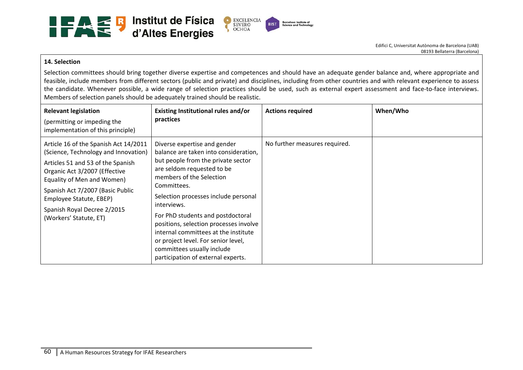

#### **14. Selection**

Selection committees should bring together diverse expertise and competences and should have an adequate gender balance and, where appropriate and feasible, include members from different sectors (public and private) and disciplines, including from other countries and with relevant experience to assess the candidate. Whenever possible, a wide range of selection practices should be used, such as external expert assessment and face-to-face interviews. Members of selection panels should be adequately trained should be realistic.

| <b>Relevant legislation</b><br>(permitting or impeding the<br>implementation of this principle)                                                                                                                                                                                                           | Existing Institutional rules and/or<br>practices                                                                                                                                                                                                                                                                                                                                                                                                                              | <b>Actions required</b>       | When/Who |
|-----------------------------------------------------------------------------------------------------------------------------------------------------------------------------------------------------------------------------------------------------------------------------------------------------------|-------------------------------------------------------------------------------------------------------------------------------------------------------------------------------------------------------------------------------------------------------------------------------------------------------------------------------------------------------------------------------------------------------------------------------------------------------------------------------|-------------------------------|----------|
| Article 16 of the Spanish Act 14/2011<br>(Science, Technology and Innovation)<br>Articles 51 and 53 of the Spanish<br>Organic Act 3/2007 (Effective<br>Equality of Men and Women)<br>Spanish Act 7/2007 (Basic Public<br>Employee Statute, EBEP)<br>Spanish Royal Decree 2/2015<br>(Workers' Statute, ET) | Diverse expertise and gender<br>balance are taken into consideration,<br>but people from the private sector<br>are seldom requested to be<br>members of the Selection<br>Committees.<br>Selection processes include personal<br>interviews.<br>For PhD students and postdoctoral<br>positions, selection processes involve<br>internal committees at the institute<br>or project level. For senior level,<br>committees usually include<br>participation of external experts. | No further measures required. |          |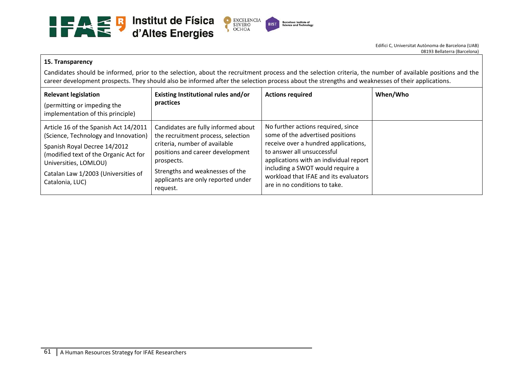

#### **15. Transparency**

Candidates should be informed, prior to the selection, about the recruitment process and the selection criteria, the number of available positions and the career development prospects. They should also be informed after the selection process about the strengths and weaknesses of their applications.

| <b>Relevant legislation</b><br>(permitting or impeding the<br>implementation of this principle)                                                                                                                                           | Existing Institutional rules and/or<br>practices                                                                                                                                                                                                  | <b>Actions required</b>                                                                                                                                                                                                                                                                              | When/Who |
|-------------------------------------------------------------------------------------------------------------------------------------------------------------------------------------------------------------------------------------------|---------------------------------------------------------------------------------------------------------------------------------------------------------------------------------------------------------------------------------------------------|------------------------------------------------------------------------------------------------------------------------------------------------------------------------------------------------------------------------------------------------------------------------------------------------------|----------|
| Article 16 of the Spanish Act 14/2011<br>(Science, Technology and Innovation)<br>Spanish Royal Decree 14/2012<br>(modified text of the Organic Act for<br>Universities, LOMLOU)<br>Catalan Law 1/2003 (Universities of<br>Catalonia, LUC) | Candidates are fully informed about<br>the recruitment process, selection<br>criteria, number of available<br>positions and career development<br>prospects.<br>Strengths and weaknesses of the<br>applicants are only reported under<br>request. | No further actions required, since<br>some of the advertised positions<br>receive over a hundred applications,<br>to answer all unsuccessful<br>applications with an individual report<br>including a SWOT would require a<br>workload that IFAE and its evaluators<br>are in no conditions to take. |          |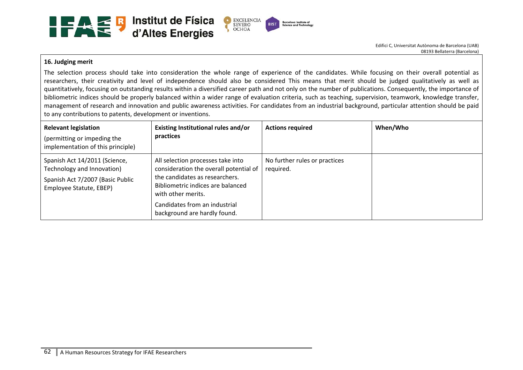

## **16. Judging merit**

The selection process should take into consideration the whole range of experience of the candidates. While focusing on their overall potential as researchers, their creativity and level of independence should also be considered This means that merit should be judged qualitatively as well as quantitatively, focusing on outstanding results within a diversified career path and not only on the number of publications. Consequently, the importance of bibliometric indices should be properly balanced within a wider range of evaluation criteria, such as teaching, supervision, teamwork, knowledge transfer, management of research and innovation and public awareness activities. For candidates from an industrial background, particular attention should be paid to any contributions to patents, development or inventions.

| <b>Relevant legislation</b><br>(permitting or impeding the<br>implementation of this principle)                            | Existing Institutional rules and/or<br>practices                                                                                                                         | <b>Actions required</b>                    | When/Who |
|----------------------------------------------------------------------------------------------------------------------------|--------------------------------------------------------------------------------------------------------------------------------------------------------------------------|--------------------------------------------|----------|
| Spanish Act 14/2011 (Science,<br>Technology and Innovation)<br>Spanish Act 7/2007 (Basic Public<br>Employee Statute, EBEP) | All selection processes take into<br>consideration the overall potential of<br>the candidates as researchers.<br>Bibliometric indices are balanced<br>with other merits. | No further rules or practices<br>required. |          |
|                                                                                                                            | Candidates from an industrial<br>background are hardly found.                                                                                                            |                                            |          |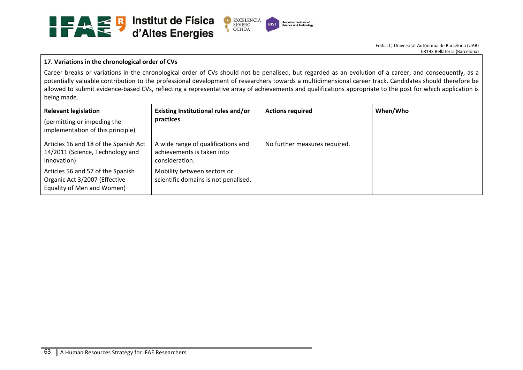

# **17. Variations in the chronological order of CVs**

Career breaks or variations in the chronological order of CVs should not be penalised, but regarded as an evolution of a career, and consequently, as a potentially valuable contribution to the professional development of researchers towards a multidimensional career track. Candidates should therefore be allowed to submit evidence-based CVs, reflecting a representative array of achievements and qualifications appropriate to the post for which application is being made.

| <b>Relevant legislation</b><br>(permitting or impeding the<br>implementation of this principle)  | Existing Institutional rules and/or<br>practices                                   | <b>Actions required</b>       | When/Who |
|--------------------------------------------------------------------------------------------------|------------------------------------------------------------------------------------|-------------------------------|----------|
| Articles 16 and 18 of the Spanish Act<br>14/2011 (Science, Technology and<br>Innovation)         | A wide range of qualifications and<br>achievements is taken into<br>consideration. | No further measures required. |          |
| Articles 56 and 57 of the Spanish<br>Organic Act 3/2007 (Effective<br>Equality of Men and Women) | Mobility between sectors or<br>scientific domains is not penalised.                |                               |          |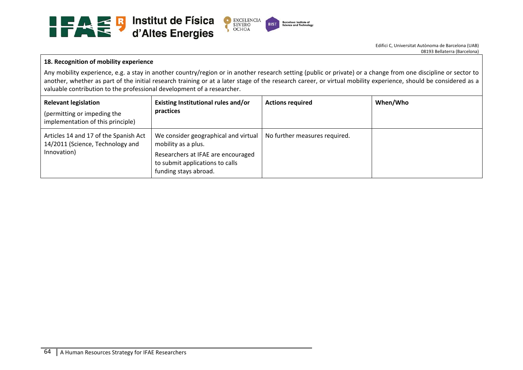

#### **18. Recognition of mobility experience**

Any mobility experience, e.g. a stay in another country/region or in another research setting (public or private) or a change from one discipline or sector to another, whether as part of the initial research training or at a later stage of the research career, or virtual mobility experience, should be considered as a valuable contribution to the professional development of a researcher.

| <b>Relevant legislation</b><br>(permitting or impeding the<br>implementation of this principle) | <b>Existing Institutional rules and/or</b><br>practices                                                                                                       | <b>Actions required</b>       | When/Who |
|-------------------------------------------------------------------------------------------------|---------------------------------------------------------------------------------------------------------------------------------------------------------------|-------------------------------|----------|
| Articles 14 and 17 of the Spanish Act<br>14/2011 (Science, Technology and<br>Innovation)        | We consider geographical and virtual<br>mobility as a plus.<br>Researchers at IFAE are encouraged<br>to submit applications to calls<br>funding stays abroad. | No further measures required. |          |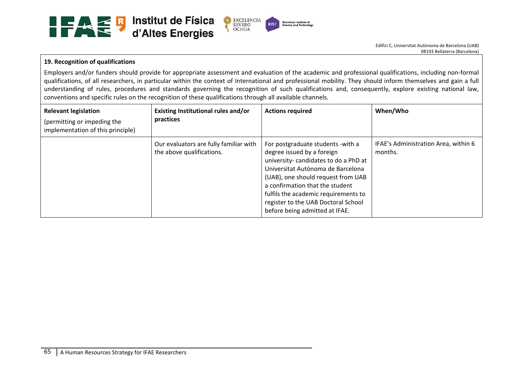

## **19. Recognition of qualifications**

Employers and/or funders should provide for appropriate assessment and evaluation of the academic and professional qualifications, including non‐formal qualifications, of all researchers, in particular within the context of International and professional mobility. They should inform themselves and gain a full understanding of rules, procedures and standards governing the recognition of such qualifications and, consequently, explore existing national law, conventions and specific rules on the recognition of these qualifications through all available channels.

| <b>Relevant legislation</b><br>(permitting or impeding the<br>implementation of this principle) | Existing Institutional rules and/or<br>practices                    | <b>Actions required</b>                                                                                                                                                                                                                                                                                                                 | When/Who                                        |
|-------------------------------------------------------------------------------------------------|---------------------------------------------------------------------|-----------------------------------------------------------------------------------------------------------------------------------------------------------------------------------------------------------------------------------------------------------------------------------------------------------------------------------------|-------------------------------------------------|
|                                                                                                 | Our evaluators are fully familiar with<br>the above qualifications. | For postgraduate students - with a<br>degree issued by a foreign<br>university-candidates to do a PhD at<br>Universitat Autònoma de Barcelona<br>(UAB), one should request from UAB<br>a confirmation that the student<br>fulfils the academic requirements to<br>register to the UAB Doctoral School<br>before being admitted at IFAE. | IFAE's Administration Area, within 6<br>months. |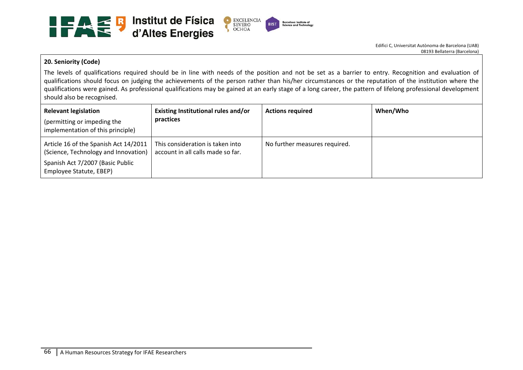

#### **20. Seniority (Code)**

The levels of qualifications required should be in line with needs of the position and not be set as a barrier to entry. Recognition and evaluation of qualifications should focus on judging the achievements of the person rather than his/her circumstances or the reputation of the institution where the qualifications were gained. As professional qualifications may be gained at an early stage of a long career, the pattern of lifelong professional development should also be recognised.

| <b>Relevant legislation</b><br>(permitting or impeding the<br>implementation of this principle)                                              | Existing Institutional rules and/or<br>practices                      | <b>Actions required</b>       | When/Who |
|----------------------------------------------------------------------------------------------------------------------------------------------|-----------------------------------------------------------------------|-------------------------------|----------|
| Article 16 of the Spanish Act 14/2011<br>(Science, Technology and Innovation)<br>Spanish Act 7/2007 (Basic Public<br>Employee Statute, EBEP) | This consideration is taken into<br>account in all calls made so far. | No further measures required. |          |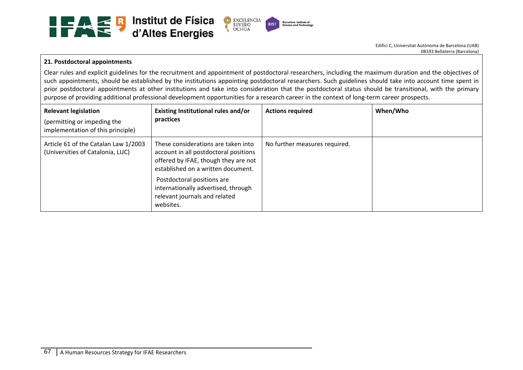

# **21. Postdoctoral appointments**

Clear rules and explicit guidelines for the recruitment and appointment of postdoctoral researchers, including the maximum duration and the objectives of such appointments, should be established by the institutions appointing postdoctoral researchers. Such guidelines should take into account time spent in prior postdoctoral appointments at other institutions and take into consideration that the postdoctoral status should be transitional, with the primary purpose of providing additional professional development opportunities for a research career in the context of long-term career prospects.

| <b>Relevant legislation</b><br>(permitting or impeding the<br>implementation of this principle) | Existing Institutional rules and/or<br>practices                                                                                                                                                                                                                              | <b>Actions required</b>       | When/Who |
|-------------------------------------------------------------------------------------------------|-------------------------------------------------------------------------------------------------------------------------------------------------------------------------------------------------------------------------------------------------------------------------------|-------------------------------|----------|
| Article 61 of the Catalan Law 1/2003<br>(Universities of Catalonia, LUC)                        | These considerations are taken into<br>account in all postdoctoral positions<br>offered by IFAE, though they are not<br>established on a written document.<br>Postdoctoral positions are<br>internationally advertised, through<br>relevant journals and related<br>websites. | No further measures required. |          |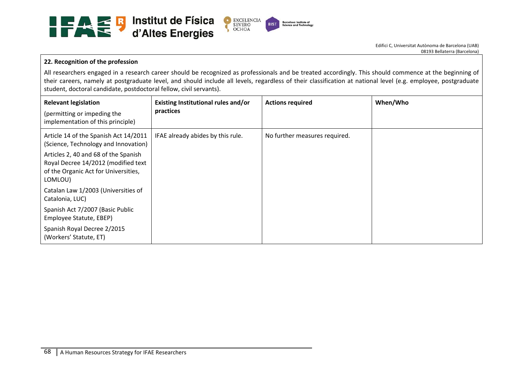

## **22. Recognition of the profession**

All researchers engaged in a research career should be recognized as professionals and be treated accordingly. This should commence at the beginning of their careers, namely at postgraduate level, and should include all levels, regardless of their classification at national level (e.g. employee, postgraduate student, doctoral candidate, postdoctoral fellow, civil servants).

| <b>Relevant legislation</b><br>(permitting or impeding the<br>implementation of this principle)                                | Existing Institutional rules and/or<br>practices | <b>Actions required</b>       | When/Who |
|--------------------------------------------------------------------------------------------------------------------------------|--------------------------------------------------|-------------------------------|----------|
| Article 14 of the Spanish Act 14/2011<br>(Science, Technology and Innovation)                                                  | IFAE already abides by this rule.                | No further measures required. |          |
| Articles 2, 40 and 68 of the Spanish<br>Royal Decree 14/2012 (modified text<br>of the Organic Act for Universities,<br>LOMLOU) |                                                  |                               |          |
| Catalan Law 1/2003 (Universities of<br>Catalonia, LUC)                                                                         |                                                  |                               |          |
| Spanish Act 7/2007 (Basic Public<br>Employee Statute, EBEP)                                                                    |                                                  |                               |          |
| Spanish Royal Decree 2/2015<br>(Workers' Statute, ET)                                                                          |                                                  |                               |          |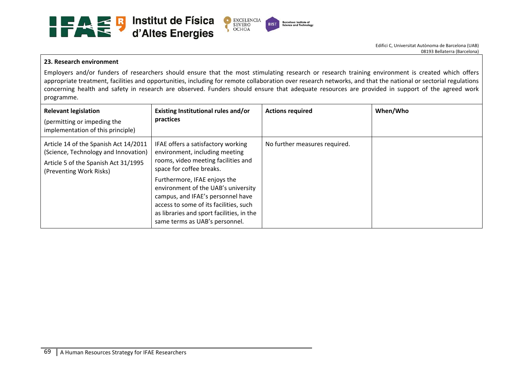

## **23. Research environment**

Employers and/or funders of researchers should ensure that the most stimulating research or research training environment is created which offers appropriate treatment, facilities and opportunities, including for remote collaboration over research networks, and that the national or sectorial regulations concerning health and safety in research are observed. Funders should ensure that adequate resources are provided in support of the agreed work programme.

| <b>Relevant legislation</b><br>(permitting or impeding the<br>implementation of this principle)                                                  | Existing Institutional rules and/or<br>practices                                                                                                                                                                                  | <b>Actions required</b>       | When/Who |
|--------------------------------------------------------------------------------------------------------------------------------------------------|-----------------------------------------------------------------------------------------------------------------------------------------------------------------------------------------------------------------------------------|-------------------------------|----------|
| Article 14 of the Spanish Act 14/2011<br>(Science, Technology and Innovation)<br>Article 5 of the Spanish Act 31/1995<br>(Preventing Work Risks) | IFAE offers a satisfactory working<br>environment, including meeting<br>rooms, video meeting facilities and<br>space for coffee breaks.                                                                                           | No further measures required. |          |
|                                                                                                                                                  | Furthermore, IFAE enjoys the<br>environment of the UAB's university<br>campus, and IFAE's personnel have<br>access to some of its facilities, such<br>as libraries and sport facilities, in the<br>same terms as UAB's personnel. |                               |          |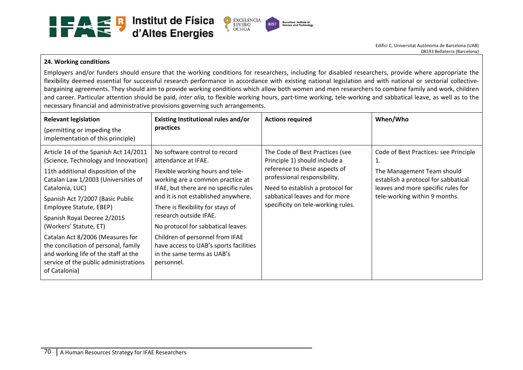

# **24. Working conditions**

Employers and/or funders should ensure that the working conditions for researchers, including for disabled researchers, provide where appropriate the flexibility deemed essential for successful research performance in accordance with existing national legislation and with national or sectorial collectivebargaining agreements. They should aim to provide working conditions which allow both women and men researchers to combine family and work, children and career. Particular attention should be paid, *inter alia*, to flexible working hours, part-time working, tele-working and sabbatical leave, as well as to the necessary financial and administrative provisions governing such arrangements.

| <b>Relevant legislation</b><br>(permitting or impeding the<br>implementation of this principle)                                                                                                                                                                                                                                                                                                                                                                                     | Existing Institutional rules and/or<br>practices                                                                                                                                                                                                                                                                                                                                                                                           | <b>Actions required</b>                                                                                                                                                                                                                       | When/Who                                                                                                                                                                                |
|-------------------------------------------------------------------------------------------------------------------------------------------------------------------------------------------------------------------------------------------------------------------------------------------------------------------------------------------------------------------------------------------------------------------------------------------------------------------------------------|--------------------------------------------------------------------------------------------------------------------------------------------------------------------------------------------------------------------------------------------------------------------------------------------------------------------------------------------------------------------------------------------------------------------------------------------|-----------------------------------------------------------------------------------------------------------------------------------------------------------------------------------------------------------------------------------------------|-----------------------------------------------------------------------------------------------------------------------------------------------------------------------------------------|
| Article 14 of the Spanish Act 14/2011<br>(Science, Technology and Innovation)<br>11th additional disposition of the<br>Catalan Law 1/2003 (Universities of<br>Catalonia, LUC)<br>Spanish Act 7/2007 (Basic Public<br>Employee Statute, EBEP)<br>Spanish Royal Decree 2/2015<br>(Workers' Statute, ET)<br>Catalan Act 8/2006 (Measures for<br>the conciliation of personal, family<br>and working life of the staff at the<br>service of the public administrations<br>of Catalonia) | No software control to record<br>attendance at IFAE.<br>Flexible working hours and tele-<br>working are a common practice at<br>IFAE, but there are no specific rules<br>and it is not established anywhere.<br>There is flexibility for stays of<br>research outside IFAE.<br>No protocol for sabbatical leaves.<br>Children of personnel from IFAE<br>have access to UAB's sports facilities<br>in the same terms as UAB's<br>personnel. | The Code of Best Practices (see<br>Principle 1) should include a<br>reference to these aspects of<br>professional responsibility.<br>Need to establish a protocol for<br>sabbatical leaves and for more<br>specificity on tele-working rules. | Code of Best Practices: see Principle<br>ı.<br>The Management Team should<br>establish a protocol for sabbatical<br>leaves and more specific rules for<br>tele-working within 9 months. |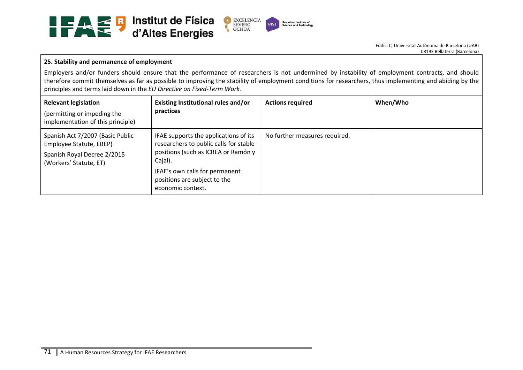

# **25. Stability and permanence of employment**

Employers and/or funders should ensure that the performance of researchers is not undermined by instability of employment contracts, and should therefore commit themselves as far as possible to improving the stability of employment conditions for researchers, thus implementing and abiding by the principles and terms laid down in the *EU Directive on Fixed‐Term Work.* 

| <b>Relevant legislation</b><br>(permitting or impeding the<br>implementation of this principle)                      | Existing Institutional rules and/or<br>practices                                                                                                                                                                         | <b>Actions required</b>       | When/Who |
|----------------------------------------------------------------------------------------------------------------------|--------------------------------------------------------------------------------------------------------------------------------------------------------------------------------------------------------------------------|-------------------------------|----------|
| Spanish Act 7/2007 (Basic Public<br>Employee Statute, EBEP)<br>Spanish Royal Decree 2/2015<br>(Workers' Statute, ET) | IFAE supports the applications of its<br>researchers to public calls for stable<br>positions (such as ICREA or Ramón y<br>Cajal).<br>IFAE's own calls for permanent<br>positions are subject to the<br>economic context. | No further measures required. |          |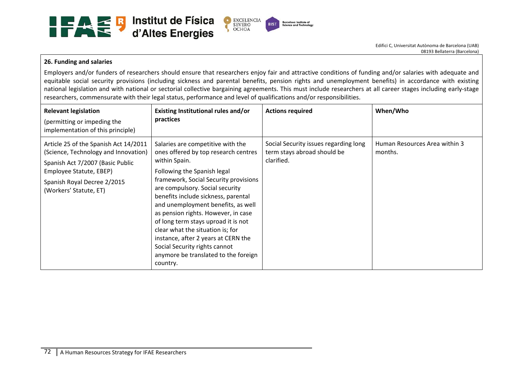

## **26. Funding and salaries**

Employers and/or funders of researchers should ensure that researchers enjoy fair and attractive conditions of funding and/or salaries with adequate and equitable social security provisions (including sickness and parental benefits, pension rights and unemployment benefits) in accordance with existing national legislation and with national or sectorial collective bargaining agreements. This must include researchers at all career stages including early‐stage researchers, commensurate with their legal status, performance and level of qualifications and/or responsibilities.

| <b>Relevant legislation</b><br>(permitting or impeding the<br>implementation of this principle)                                                                                                       | Existing Institutional rules and/or<br>practices                                                                                                                                                                                                                                                                                                                                                                                                                                                                                 | <b>Actions required</b>                                                            | When/Who                                 |
|-------------------------------------------------------------------------------------------------------------------------------------------------------------------------------------------------------|----------------------------------------------------------------------------------------------------------------------------------------------------------------------------------------------------------------------------------------------------------------------------------------------------------------------------------------------------------------------------------------------------------------------------------------------------------------------------------------------------------------------------------|------------------------------------------------------------------------------------|------------------------------------------|
| Article 25 of the Spanish Act 14/2011<br>(Science, Technology and Innovation)<br>Spanish Act 7/2007 (Basic Public<br>Employee Statute, EBEP)<br>Spanish Royal Decree 2/2015<br>(Workers' Statute, ET) | Salaries are competitive with the<br>ones offered by top research centres<br>within Spain.<br>Following the Spanish legal<br>framework, Social Security provisions<br>are compulsory. Social security<br>benefits include sickness, parental<br>and unemployment benefits, as well<br>as pension rights. However, in case<br>of long term stays uproad it is not<br>clear what the situation is; for<br>instance, after 2 years at CERN the<br>Social Security rights cannot<br>anymore be translated to the foreign<br>country. | Social Security issues regarding long<br>term stays abroad should be<br>clarified. | Human Resources Area within 3<br>months. |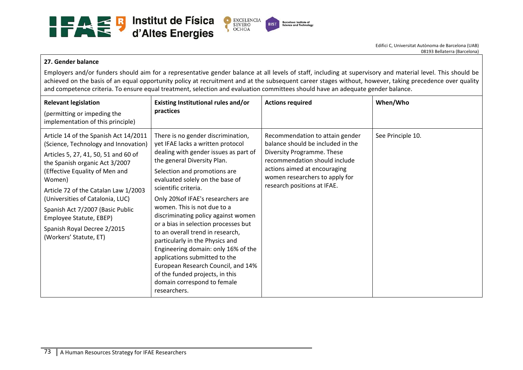

## **27. Gender balance**

Employers and/or funders should aim for a representative gender balance at all levels of staff, including at supervisory and material level. This should be achieved on the basis of an equal opportunity policy at recruitment and at the subsequent career stages without, however, taking precedence over quality and competence criteria. To ensure equal treatment, selection and evaluation committees should have an adequate gender balance.

| <b>Relevant legislation</b><br>(permitting or impeding the<br>implementation of this principle)                                                                                                                                                                                                                                                                                                         | Existing Institutional rules and/or<br>practices                                                                                                                                                                                                                                                                                                                                                                                                                                                                                                                                                                                                                      | <b>Actions required</b>                                                                                                                                                                                                              | When/Who          |
|---------------------------------------------------------------------------------------------------------------------------------------------------------------------------------------------------------------------------------------------------------------------------------------------------------------------------------------------------------------------------------------------------------|-----------------------------------------------------------------------------------------------------------------------------------------------------------------------------------------------------------------------------------------------------------------------------------------------------------------------------------------------------------------------------------------------------------------------------------------------------------------------------------------------------------------------------------------------------------------------------------------------------------------------------------------------------------------------|--------------------------------------------------------------------------------------------------------------------------------------------------------------------------------------------------------------------------------------|-------------------|
| Article 14 of the Spanish Act 14/2011<br>(Science, Technology and Innovation)<br>Articles 5, 27, 41, 50, 51 and 60 of<br>the Spanish organic Act 3/2007<br>(Effective Equality of Men and<br>Women)<br>Article 72 of the Catalan Law 1/2003<br>(Universities of Catalonia, LUC)<br>Spanish Act 7/2007 (Basic Public<br>Employee Statute, EBEP)<br>Spanish Royal Decree 2/2015<br>(Workers' Statute, ET) | There is no gender discrimination,<br>yet IFAE lacks a written protocol<br>dealing with gender issues as part of<br>the general Diversity Plan.<br>Selection and promotions are<br>evaluated solely on the base of<br>scientific criteria.<br>Only 20% of IFAE's researchers are<br>women. This is not due to a<br>discriminating policy against women<br>or a bias in selection processes but<br>to an overall trend in research,<br>particularly in the Physics and<br>Engineering domain: only 16% of the<br>applications submitted to the<br>European Research Council, and 14%<br>of the funded projects, in this<br>domain correspond to female<br>researchers. | Recommendation to attain gender<br>balance should be included in the<br>Diversity Programme. These<br>recommendation should include<br>actions aimed at encouraging<br>women researchers to apply for<br>research positions at IFAE. | See Principle 10. |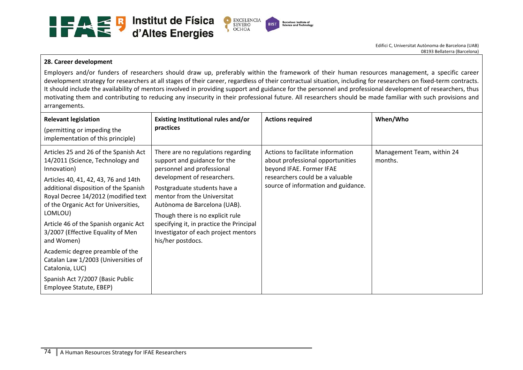

## **28. Career development**

Employers and/or funders of researchers should draw up, preferably within the framework of their human resources management, <sup>a</sup> specific career development strategy for researchers at all stages of their career, regardless of their contractual situation, including for researchers on fixed-term contracts. It should include the availability of mentors involved in providing support and guidance for the personnel and professional development of researchers, thus motivating them and contributing to reducing any insecurity in their professional future. All researchers should be made familiar with such provisions and arrangements.

| <b>Relevant legislation</b><br>(permitting or impeding the<br>implementation of this principle)                                                                                                                                                                                                                                                                                                                                                                                                                             | Existing Institutional rules and/or<br>practices                                                                                                                                                                                                                                                                                                                            | <b>Actions required</b>                                                                                                                                                     | When/Who                              |
|-----------------------------------------------------------------------------------------------------------------------------------------------------------------------------------------------------------------------------------------------------------------------------------------------------------------------------------------------------------------------------------------------------------------------------------------------------------------------------------------------------------------------------|-----------------------------------------------------------------------------------------------------------------------------------------------------------------------------------------------------------------------------------------------------------------------------------------------------------------------------------------------------------------------------|-----------------------------------------------------------------------------------------------------------------------------------------------------------------------------|---------------------------------------|
| Articles 25 and 26 of the Spanish Act<br>14/2011 (Science, Technology and<br>Innovation)<br>Articles 40, 41, 42, 43, 76 and 14th<br>additional disposition of the Spanish<br>Royal Decree 14/2012 (modified text<br>of the Organic Act for Universities,<br>LOMLOU)<br>Article 46 of the Spanish organic Act<br>3/2007 (Effective Equality of Men<br>and Women)<br>Academic degree preamble of the<br>Catalan Law 1/2003 (Universities of<br>Catalonia, LUC)<br>Spanish Act 7/2007 (Basic Public<br>Employee Statute, EBEP) | There are no regulations regarding<br>support and guidance for the<br>personnel and professional<br>development of researchers.<br>Postgraduate students have a<br>mentor from the Universitat<br>Autònoma de Barcelona (UAB).<br>Though there is no explicit rule<br>specifying it, in practice the Principal<br>Investigator of each project mentors<br>his/her postdocs. | Actions to facilitate information<br>about professional opportunities<br>beyond IFAE. Former IFAE<br>researchers could be a valuable<br>source of information and guidance. | Management Team, within 24<br>months. |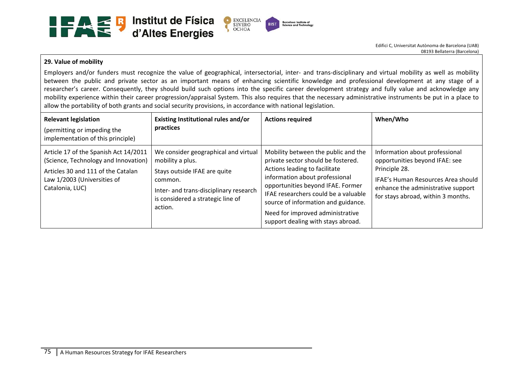

#### **29. Value of mobility**

Employers and/or funders must recognize the value of geographical, intersectorial, inter- and trans-disciplinary and virtual mobility as well as mobility between the public and private sector as an important means of enhancing scientific knowledge and professional development at any stage of a researcher's career. Consequently, they should build such options into the specific career development strategy and fully value and acknowledge any mobility experience within their career progression/appraisal System. This also requires that the necessary administrative instruments be put in a place to allow the portability of both grants and social security provisions, in accordance with national legislation.

| <b>Relevant legislation</b><br>(permitting or impeding the<br>implementation of this principle)                                                                       | Existing Institutional rules and/or<br>practices                                                                                                                                              | <b>Actions required</b>                                                                                                                                                                                                                                                                                                                    | When/Who                                                                                                                                                                                            |
|-----------------------------------------------------------------------------------------------------------------------------------------------------------------------|-----------------------------------------------------------------------------------------------------------------------------------------------------------------------------------------------|--------------------------------------------------------------------------------------------------------------------------------------------------------------------------------------------------------------------------------------------------------------------------------------------------------------------------------------------|-----------------------------------------------------------------------------------------------------------------------------------------------------------------------------------------------------|
| Article 17 of the Spanish Act 14/2011<br>(Science, Technology and Innovation)<br>Articles 30 and 111 of the Catalan<br>Law 1/2003 (Universities of<br>Catalonia, LUC) | We consider geographical and virtual<br>mobility a plus.<br>Stays outside IFAE are quite<br>common.<br>Inter- and trans-disciplinary research<br>is considered a strategic line of<br>action. | Mobility between the public and the<br>private sector should be fostered.<br>Actions leading to facilitate<br>information about professional<br>opportunities beyond IFAE. Former<br>IFAE researchers could be a valuable<br>source of information and guidance.<br>Need for improved administrative<br>support dealing with stays abroad. | Information about professional<br>opportunities beyond IFAE: see<br>Principle 28.<br>IFAE's Human Resources Area should<br>enhance the administrative support<br>for stays abroad, within 3 months. |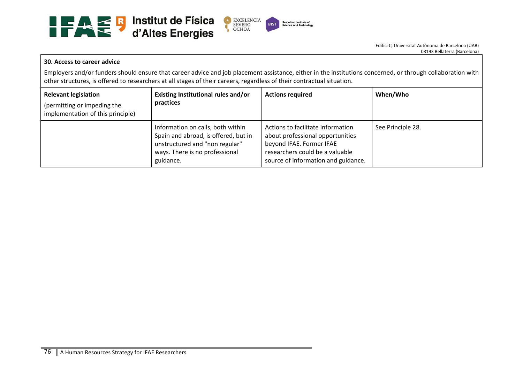

#### **30. Access to career advice**

Employers and/or funders should ensure that career advice and job placement assistance, either in the institutions concerned, or through collaboration with other structures, is offered to researchers at all stages of their careers, regardless of their contractual situation.

| <b>Relevant legislation</b><br>(permitting or impeding the<br>implementation of this principle) | Existing Institutional rules and/or<br>practices                                                                                                           | <b>Actions required</b>                                                                                                                                                     | When/Who          |
|-------------------------------------------------------------------------------------------------|------------------------------------------------------------------------------------------------------------------------------------------------------------|-----------------------------------------------------------------------------------------------------------------------------------------------------------------------------|-------------------|
|                                                                                                 | Information on calls, both within<br>Spain and abroad, is offered, but in<br>unstructured and "non regular"<br>ways. There is no professional<br>guidance. | Actions to facilitate information<br>about professional opportunities<br>beyond IFAE. Former IFAE<br>researchers could be a valuable<br>source of information and guidance. | See Principle 28. |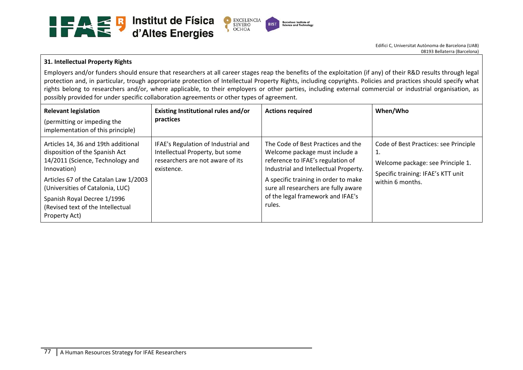

## **31. Intellectual Property Rights**

Employers and/or funders should ensure that researchers at all career stages reap the benefits of the exploitation (if any) of their R&D results through legal protection and, in particular, trough appropriate protection of Intellectual Property Rights, including copyrights. Policies and practices should specify what rights belong to researchers and/or, where applicable, to their employers or other parties, including external commercial or industrial organisation, as possibly provided for under specific collaboration agreements or other types of agreement.

| <b>Relevant legislation</b><br>(permitting or impeding the<br>implementation of this principle)                                                                                                                                                                                            | Existing Institutional rules and/or<br>practices                                                                         | <b>Actions required</b>                                                                                                                                                                                                                                                           | When/Who                                                                                                                                   |
|--------------------------------------------------------------------------------------------------------------------------------------------------------------------------------------------------------------------------------------------------------------------------------------------|--------------------------------------------------------------------------------------------------------------------------|-----------------------------------------------------------------------------------------------------------------------------------------------------------------------------------------------------------------------------------------------------------------------------------|--------------------------------------------------------------------------------------------------------------------------------------------|
| Articles 14, 36 and 19th additional<br>disposition of the Spanish Act<br>14/2011 (Science, Technology and<br>Innovation)<br>Articles 67 of the Catalan Law 1/2003<br>(Universities of Catalonia, LUC)<br>Spanish Royal Decree 1/1996<br>(Revised text of the Intellectual<br>Property Act) | IFAE's Regulation of Industrial and<br>Intellectual Property, but some<br>researchers are not aware of its<br>existence. | The Code of Best Practices and the<br>Welcome package must include a<br>reference to IFAE's regulation of<br>Industrial and Intellectual Property.<br>A specific training in order to make<br>sure all researchers are fully aware<br>of the legal framework and IFAE's<br>rules. | Code of Best Practices: see Principle<br>1.<br>Welcome package: see Principle 1.<br>Specific training: IFAE's KTT unit<br>within 6 months. |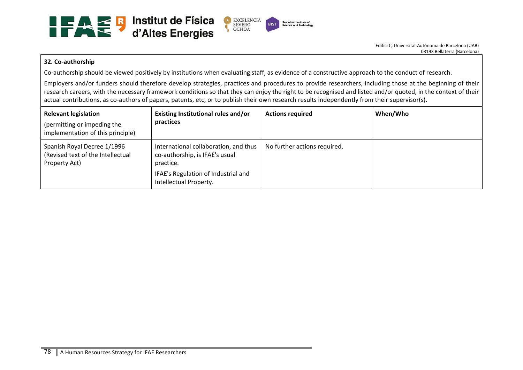

## **32. Co‐authorship**

Co-authorship should be viewed positively by institutions when evaluating staff, as evidence of a constructive approach to the conduct of research.

Employers and/or funders should therefore develop strategies, practices and procedures to provide researchers, including those at the beginning of their research careers, with the necessary framework conditions so that they can enjoy the right to be recognised and listed and/or quoted, in the context of their actual contributions, as co-authors of papers, patents, etc, or to publish their own research results independently from their supervisor(s).

| <b>Relevant legislation</b><br>(permitting or impeding the<br>implementation of this principle) | Existing Institutional rules and/or<br>practices                                                                                                      | <b>Actions required</b>      | When/Who |
|-------------------------------------------------------------------------------------------------|-------------------------------------------------------------------------------------------------------------------------------------------------------|------------------------------|----------|
| Spanish Royal Decree 1/1996<br>(Revised text of the Intellectual<br>Property Act)               | International collaboration, and thus<br>co-authorship, is IFAE's usual<br>practice.<br>IFAE's Regulation of Industrial and<br>Intellectual Property. | No further actions required. |          |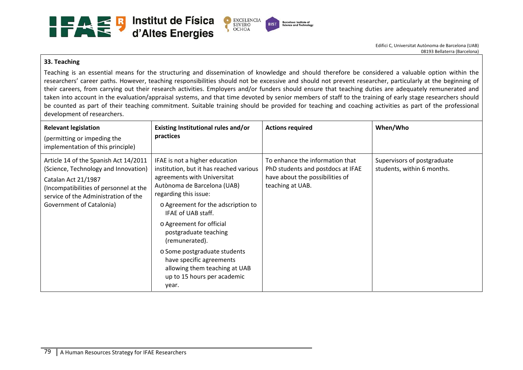

#### **33. Teaching**

Teaching is an essential means for the structuring and dissemination of knowledge and should therefore be considered a valuable option within the researchers' career paths. However, teaching responsibilities should not be excessive and should not prevent researcher, particularly at the beginning of their careers, from carrying out their research activities. Employers and/or funders should ensure that teaching duties are adequately remunerated and taken into account in the evaluation/appraisal systems, and that time devoted by senior members of staff to the training of early stage researchers should be counted as part of their teaching commitment. Suitable training should be provided for teaching and coaching activities as part of the professional development of researchers.

| <b>Relevant legislation</b><br>(permitting or impeding the<br>implementation of this principle)                                                                                                                    | Existing Institutional rules and/or<br>practices                                                                                                                                                                                                                                                                                                                                                                                         | <b>Actions required</b>                                                                                                     | When/Who                                                  |
|--------------------------------------------------------------------------------------------------------------------------------------------------------------------------------------------------------------------|------------------------------------------------------------------------------------------------------------------------------------------------------------------------------------------------------------------------------------------------------------------------------------------------------------------------------------------------------------------------------------------------------------------------------------------|-----------------------------------------------------------------------------------------------------------------------------|-----------------------------------------------------------|
| Article 14 of the Spanish Act 14/2011<br>(Science, Technology and Innovation)<br>Catalan Act 21/1987<br>(Incompatibilities of personnel at the<br>service of the Administration of the<br>Government of Catalonia) | IFAE is not a higher education<br>institution, but it has reached various<br>agreements with Universitat<br>Autònoma de Barcelona (UAB)<br>regarding this issue:<br>o Agreement for the adscription to<br>IFAE of UAB staff.<br>o Agreement for official<br>postgraduate teaching<br>(remunerated).<br>o Some postgraduate students<br>have specific agreements<br>allowing them teaching at UAB<br>up to 15 hours per academic<br>year. | To enhance the information that<br>PhD students and postdocs at IFAE<br>have about the possibilities of<br>teaching at UAB. | Supervisors of postgraduate<br>students, within 6 months. |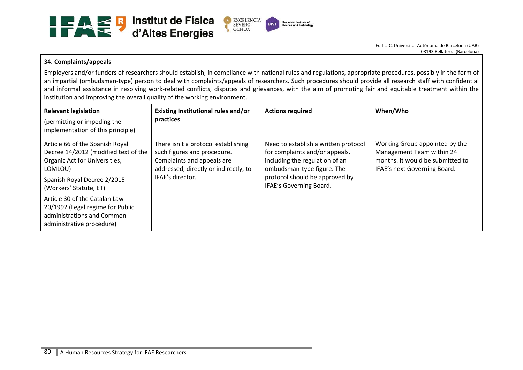

## **34. Complaints/appeals**

Employers and/or funders of researchers should establish, in compliance with national rules and regulations, appropriate procedures, possibly in the form of an impartial (ombudsman-type) person to deal with complaints/appeals of researchers. Such procedures should provide all research staff with confidential and informal assistance in resolving work-related conflicts, disputes and grievances, with the aim of promoting fair and equitable treatment within the institution and improving the overall quality of the working environment.

| <b>Relevant legislation</b><br>(permitting or impeding the<br>implementation of this principle)                                                                              | Existing Institutional rules and/or<br>practices                                                                                                              | <b>Actions required</b>                                                                                                                                                                             | When/Who                                                                                                                        |
|------------------------------------------------------------------------------------------------------------------------------------------------------------------------------|---------------------------------------------------------------------------------------------------------------------------------------------------------------|-----------------------------------------------------------------------------------------------------------------------------------------------------------------------------------------------------|---------------------------------------------------------------------------------------------------------------------------------|
| Article 66 of the Spanish Royal<br>Decree 14/2012 (modified text of the<br>Organic Act for Universities,<br>LOMLOU)<br>Spanish Royal Decree 2/2015<br>(Workers' Statute, ET) | There isn't a protocol establishing<br>such figures and procedure.<br>Complaints and appeals are<br>addressed, directly or indirectly, to<br>IFAE's director. | Need to establish a written protocol<br>for complaints and/or appeals,<br>including the regulation of an<br>ombudsman-type figure. The<br>protocol should be approved by<br>IFAE's Governing Board. | Working Group appointed by the<br>Management Team within 24<br>months. It would be submitted to<br>IFAE's next Governing Board. |
| Article 30 of the Catalan Law<br>20/1992 (Legal regime for Public<br>administrations and Common<br>administrative procedure)                                                 |                                                                                                                                                               |                                                                                                                                                                                                     |                                                                                                                                 |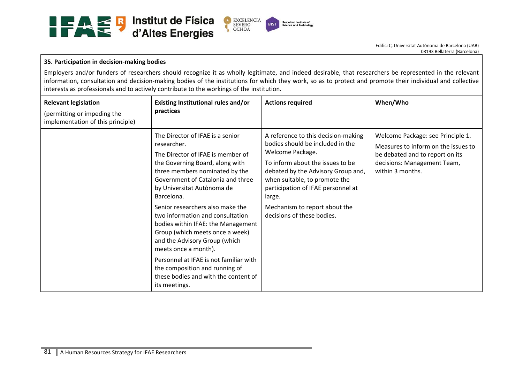

## **35. Participation in decision‐making bodies**

Employers and/or funders of researchers should recognize it as wholly legitimate, and indeed desirable, that researchers be represented in the relevant information, consultation and decision-making bodies of the institutions for which they work, so as to protect and promote their individual and collective interests as professionals and to actively contribute to the workings of the institution.

| <b>Relevant legislation</b><br>(permitting or impeding the<br>implementation of this principle) | Existing Institutional rules and/or<br>practices                                                                                                                                                                                                                                                                                                                                                                                                                                                                                                                                          | <b>Actions required</b>                                                                                                                                                                                                                                                                                               | When/Who                                                                                                                                                       |
|-------------------------------------------------------------------------------------------------|-------------------------------------------------------------------------------------------------------------------------------------------------------------------------------------------------------------------------------------------------------------------------------------------------------------------------------------------------------------------------------------------------------------------------------------------------------------------------------------------------------------------------------------------------------------------------------------------|-----------------------------------------------------------------------------------------------------------------------------------------------------------------------------------------------------------------------------------------------------------------------------------------------------------------------|----------------------------------------------------------------------------------------------------------------------------------------------------------------|
|                                                                                                 | The Director of IFAE is a senior<br>researcher.<br>The Director of IFAE is member of<br>the Governing Board, along with<br>three members nominated by the<br>Government of Catalonia and three<br>by Universitat Autònoma de<br>Barcelona.<br>Senior researchers also make the<br>two information and consultation<br>bodies within IFAE: the Management<br>Group (which meets once a week)<br>and the Advisory Group (which<br>meets once a month).<br>Personnel at IFAE is not familiar with<br>the composition and running of<br>these bodies and with the content of<br>its meetings. | A reference to this decision-making<br>bodies should be included in the<br>Welcome Package.<br>To inform about the issues to be<br>debated by the Advisory Group and,<br>when suitable, to promote the<br>participation of IFAE personnel at<br>large.<br>Mechanism to report about the<br>decisions of these bodies. | Welcome Package: see Principle 1.<br>Measures to inform on the issues to<br>be debated and to report on its<br>decisions: Management Team,<br>within 3 months. |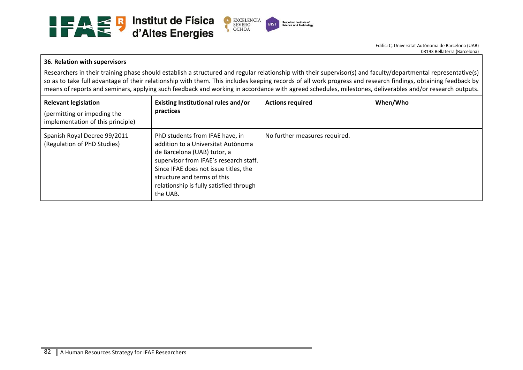

#### **36. Relation with supervisors**

Researchers in their training phase should establish a structured and regular relationship with their supervisor(s) and faculty/departmental representative(s) so as to take full advantage of their relationship with them. This includes keeping records of all work progress and research findings, obtaining feedback by means of reports and seminars, applying such feedback and working in accordance with agreed schedules, milestones, deliverables and/or research outputs.

| <b>Relevant legislation</b><br>(permitting or impeding the<br>implementation of this principle) | Existing Institutional rules and/or<br>practices                                                                                                                                                                                                                              | <b>Actions required</b>       | When/Who |
|-------------------------------------------------------------------------------------------------|-------------------------------------------------------------------------------------------------------------------------------------------------------------------------------------------------------------------------------------------------------------------------------|-------------------------------|----------|
| Spanish Royal Decree 99/2011<br>(Regulation of PhD Studies)                                     | PhD students from IFAE have, in<br>addition to a Universitat Autònoma<br>de Barcelona (UAB) tutor, a<br>supervisor from IFAE's research staff.<br>Since IFAE does not issue titles, the<br>structure and terms of this<br>relationship is fully satisfied through<br>the UAB. | No further measures required. |          |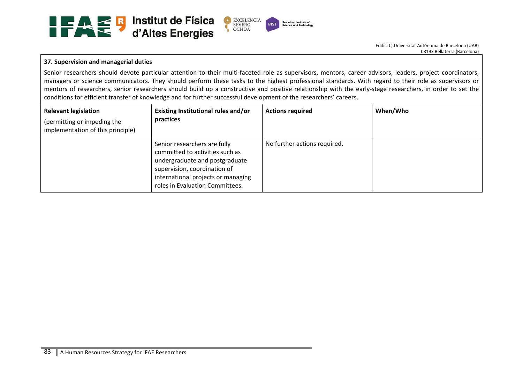

#### **37. Supervision and managerial duties**

Senior researchers should devote particular attention to their multi-faceted role as supervisors, mentors, career advisors, leaders, project coordinators, managers or science communicators. They should perform these tasks to the highest professional standards. With regard to their role as supervisors or mentors of researchers, senior researchers should build up a constructive and positive relationship with the early-stage researchers, in order to set the conditions for efficient transfer of knowledge and for further successful development of the researchers' careers.

| <b>Relevant legislation</b><br>(permitting or impeding the<br>implementation of this principle) | Existing Institutional rules and/or<br>practices                                                                                                                                                           | <b>Actions required</b>      | When/Who |
|-------------------------------------------------------------------------------------------------|------------------------------------------------------------------------------------------------------------------------------------------------------------------------------------------------------------|------------------------------|----------|
|                                                                                                 | Senior researchers are fully<br>committed to activities such as<br>undergraduate and postgraduate<br>supervision, coordination of<br>international projects or managing<br>roles in Evaluation Committees. | No further actions required. |          |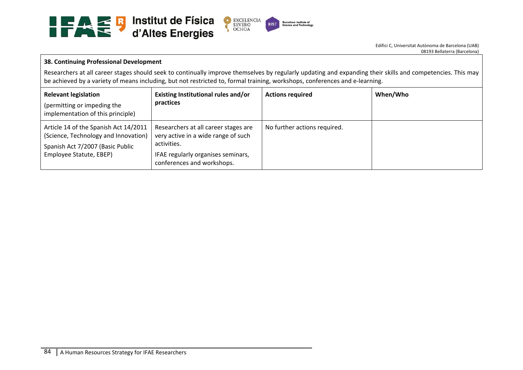

#### **38. Continuing Professional Development**

Researchers at all career stages should seek to continually improve themselves by regularly updating and expanding their skills and competencies. This may be achieved by a variety of means including, but not restricted to, formal training, workshops, conferences and e‐learning.

| <b>Relevant legislation</b><br>(permitting or impeding the<br>implementation of this principle)                                              | Existing Institutional rules and/or<br>practices                                                                                                               | <b>Actions required</b>      | When/Who |
|----------------------------------------------------------------------------------------------------------------------------------------------|----------------------------------------------------------------------------------------------------------------------------------------------------------------|------------------------------|----------|
| Article 14 of the Spanish Act 14/2011<br>(Science, Technology and Innovation)<br>Spanish Act 7/2007 (Basic Public<br>Employee Statute, EBEP) | Researchers at all career stages are<br>very active in a wide range of such<br>activities.<br>IFAE regularly organises seminars,<br>conferences and workshops. | No further actions required. |          |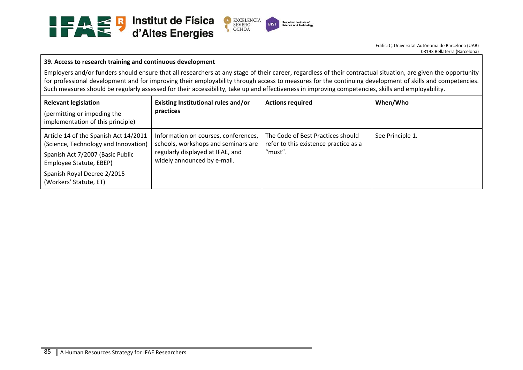

#### **39. Access to research training and continuous development**

Employers and/or funders should ensure that all researchers at any stage of their career, regardless of their contractual situation, are given the opportunity for professional development and for improving their employability through access to measures for the continuing development of skills and competencies. Such measures should be regularly assessed for their accessibility, take up and effectiveness in improving competencies, skills and employability.

| <b>Relevant legislation</b><br>(permitting or impeding the<br>implementation of this principle)                                                                                                       | Existing Institutional rules and/or<br>practices                                                                                               | <b>Actions required</b>                                                               | When/Who         |
|-------------------------------------------------------------------------------------------------------------------------------------------------------------------------------------------------------|------------------------------------------------------------------------------------------------------------------------------------------------|---------------------------------------------------------------------------------------|------------------|
| Article 14 of the Spanish Act 14/2011<br>(Science, Technology and Innovation)<br>Spanish Act 7/2007 (Basic Public<br>Employee Statute, EBEP)<br>Spanish Royal Decree 2/2015<br>(Workers' Statute, ET) | Information on courses, conferences,<br>schools, workshops and seminars are<br>regularly displayed at IFAE, and<br>widely announced by e-mail. | The Code of Best Practices should<br>refer to this existence practice as a<br>"must". | See Principle 1. |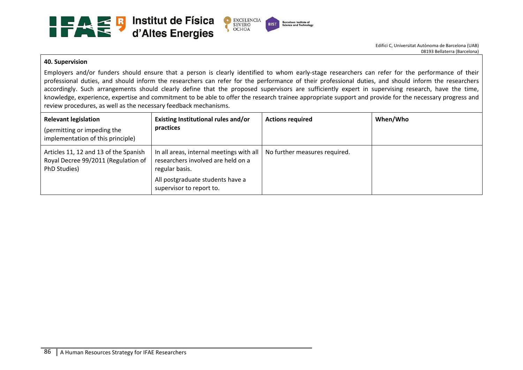

#### **40. Supervision**

Employers and/or funders should ensure that a person is clearly identified to whom early-stage researchers can refer for the performance of their professional duties, and should inform the researchers can refer for the performance of their professional duties, and should inform the researchers accordingly. Such arrangements should clearly define that the proposed supervisors are sufficiently expert in supervising research, have the time, knowledge, experience, expertise and commitment to be able to offer the research trainee appropriate support and provide for the necessary progress and review procedures, as well as the necessary feedback mechanisms.

| <b>Relevant legislation</b><br>(permitting or impeding the<br>implementation of this principle) | <b>Existing Institutional rules and/or</b><br>practices                                                                                                            | <b>Actions required</b>       | When/Who |
|-------------------------------------------------------------------------------------------------|--------------------------------------------------------------------------------------------------------------------------------------------------------------------|-------------------------------|----------|
| Articles 11, 12 and 13 of the Spanish<br>Royal Decree 99/2011 (Regulation of<br>PhD Studies)    | In all areas, internal meetings with all  <br>researchers involved are held on a<br>regular basis.<br>All postgraduate students have a<br>supervisor to report to. | No further measures required. |          |